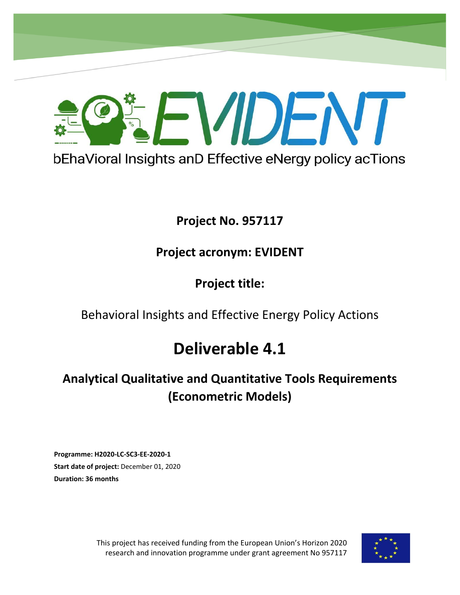

# **Project No. 957117**

# **Project acronym: EVIDENT**

**Project title:**

Behavioral Insights and Effective Energy Policy Actions

# **Deliverable 4.1**

# **Analytical Qualitative and Quantitative Tools Requirements (Econometric Models)**

**Programme: H2020-LC-SC3-EE-2020-1 Start date of project:** December 01, 2020 **Duration: 36 months** 

**Project No. 957406**

This project has received funding from the European Union's Horizon 2020 research and innovation programme under grant agreement No 957117

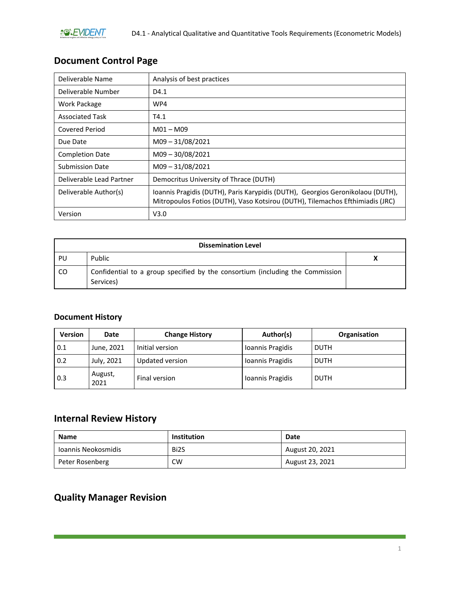## **Document Control Page**

| Deliverable Name         | Analysis of best practices                                                                                                                                      |
|--------------------------|-----------------------------------------------------------------------------------------------------------------------------------------------------------------|
| Deliverable Number       | D4.1                                                                                                                                                            |
| Work Package             | WP4                                                                                                                                                             |
| <b>Associated Task</b>   | T4.1                                                                                                                                                            |
| <b>Covered Period</b>    | $M01 - M09$                                                                                                                                                     |
| Due Date                 | $M09 - 31/08/2021$                                                                                                                                              |
| <b>Completion Date</b>   | $M09 - 30/08/2021$                                                                                                                                              |
| <b>Submission Date</b>   | $M09 - 31/08/2021$                                                                                                                                              |
| Deliverable Lead Partner | Democritus University of Thrace (DUTH)                                                                                                                          |
| Deliverable Author(s)    | Ioannis Pragidis (DUTH), Paris Karypidis (DUTH), Georgios Geronikolaou (DUTH),<br>Mitropoulos Fotios (DUTH), Vaso Kotsirou (DUTH), Tilemachos Efthimiadis (JRC) |
| Version                  | V3.0                                                                                                                                                            |

| <b>Dissemination Level</b> |                                                                                            |  |  |
|----------------------------|--------------------------------------------------------------------------------------------|--|--|
| PU                         | Public                                                                                     |  |  |
| CO.                        | Confidential to a group specified by the consortium (including the Commission<br>Services) |  |  |

### **Document History**

| <b>Version</b> | Date            | <b>Change History</b> | Author(s)        | Organisation |
|----------------|-----------------|-----------------------|------------------|--------------|
| 0.1            | June, 2021      | Initial version       | Ioannis Pragidis | <b>DUTH</b>  |
| 0.2            | July, 2021      | Updated version       | Ioannis Pragidis | <b>DUTH</b>  |
| 0.3            | August,<br>2021 | Final version         | Ioannis Pragidis | <b>DUTH</b>  |

## **Internal Review History**

| <b>Name</b>         | Institution       | Date            |
|---------------------|-------------------|-----------------|
| Joannis Neokosmidis | Bi <sub>2</sub> S | August 20, 2021 |
| Peter Rosenberg     | CW                | August 23, 2021 |

# **Quality Manager Revision**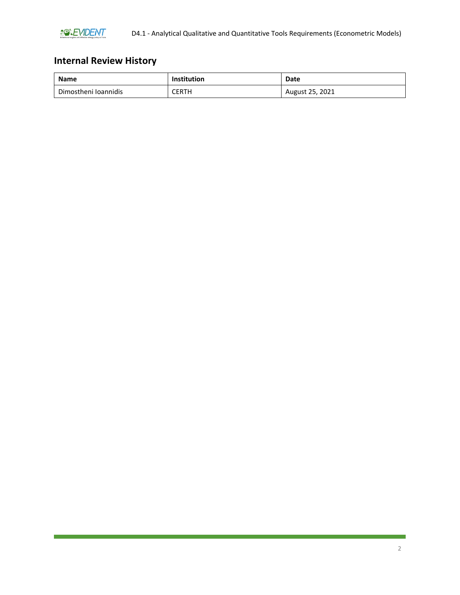

# **Internal Review History**

| <b>Name</b>          | <b>Institution</b> | Date            |
|----------------------|--------------------|-----------------|
| Dimostheni Ioannidis | CERTH              | August 25, 2021 |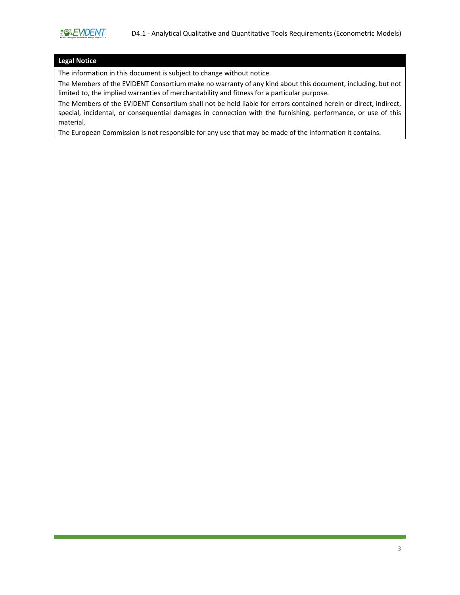#### **Legal Notice**

The information in this document is subject to change without notice.

The Members of the EVIDENT Consortium make no warranty of any kind about this document, including, but not limited to, the implied warranties of merchantability and fitness for a particular purpose.

The Members of the EVIDENT Consortium shall not be held liable for errors contained herein or direct, indirect, special, incidental, or consequential damages in connection with the furnishing, performance, or use of this material.

The European Commission is not responsible for any use that may be made of the information it contains.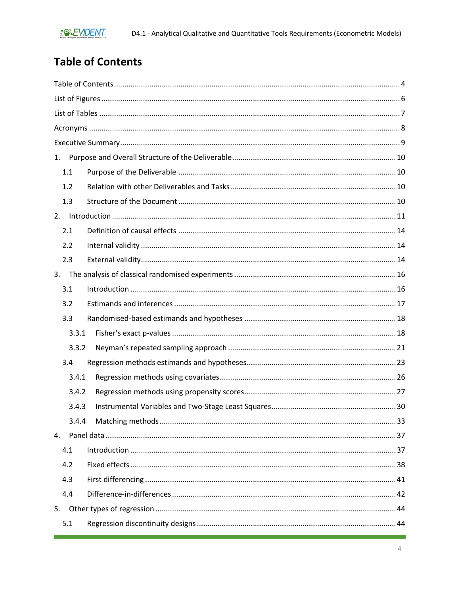# <span id="page-4-0"></span>**Table of Contents**

| 1.    |  |
|-------|--|
| 1.1   |  |
| 1.2   |  |
| 1.3   |  |
|       |  |
| 2.1   |  |
| 2.2   |  |
| 2.3   |  |
|       |  |
| 3.1   |  |
| 3.2   |  |
| 3.3   |  |
| 3.3.1 |  |
| 3.3.2 |  |
| 3.4   |  |
| 3.4.1 |  |
| 3.4.2 |  |
| 3.4.3 |  |
| 3.4.4 |  |
| 4.    |  |
| 4.1   |  |
| 4.2   |  |
| 4.3   |  |
| 4.4   |  |
| 5.    |  |
| 5.1   |  |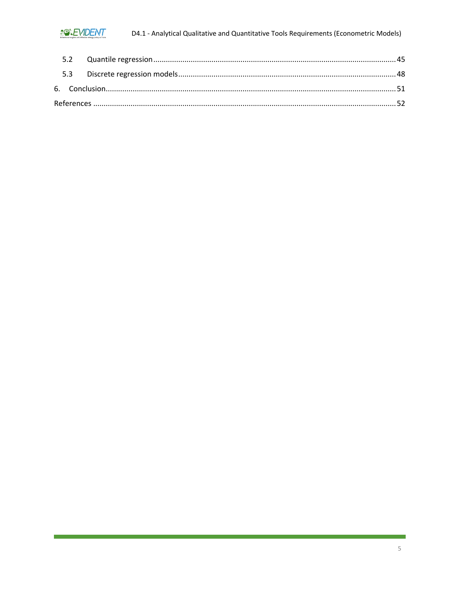## **BOREVIDENT**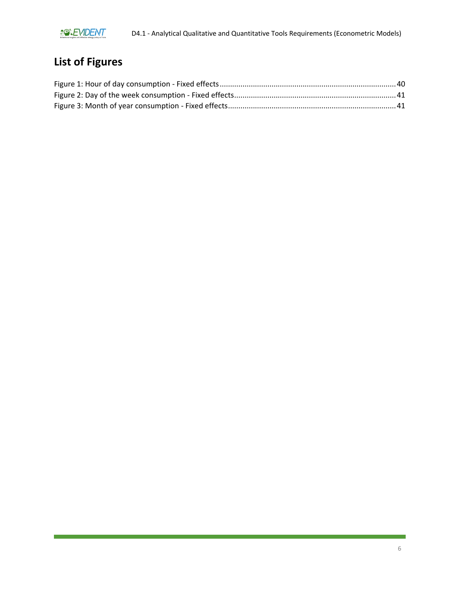

# <span id="page-6-0"></span>**List of Figures**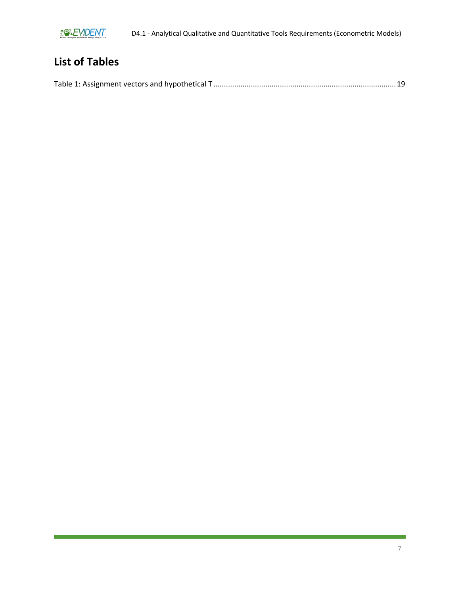

# <span id="page-7-0"></span>**List of Tables**

|--|--|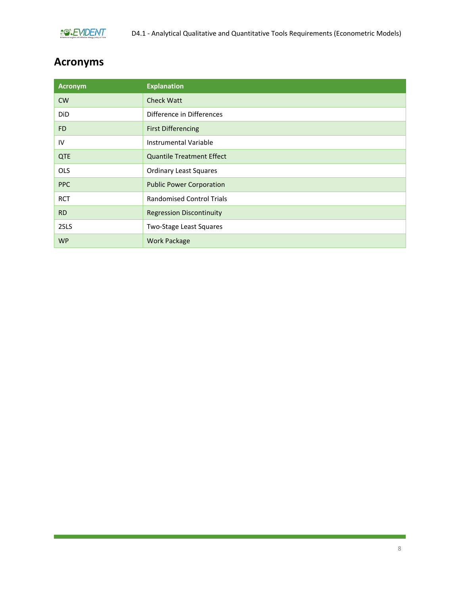

# <span id="page-8-0"></span>**Acronyms**

| <b>Acronym</b> | <b>Explanation</b>               |
|----------------|----------------------------------|
| <b>CW</b>      | <b>Check Watt</b>                |
| DiD            | Difference in Differences        |
| <b>FD</b>      | <b>First Differencing</b>        |
| IV             | Instrumental Variable            |
| <b>QTE</b>     | <b>Quantile Treatment Effect</b> |
| <b>OLS</b>     | <b>Ordinary Least Squares</b>    |
| <b>PPC</b>     | <b>Public Power Corporation</b>  |
| <b>RCT</b>     | <b>Randomised Control Trials</b> |
| <b>RD</b>      | <b>Regression Discontinuity</b>  |
| 2SLS           | Two-Stage Least Squares          |
| <b>WP</b>      | <b>Work Package</b>              |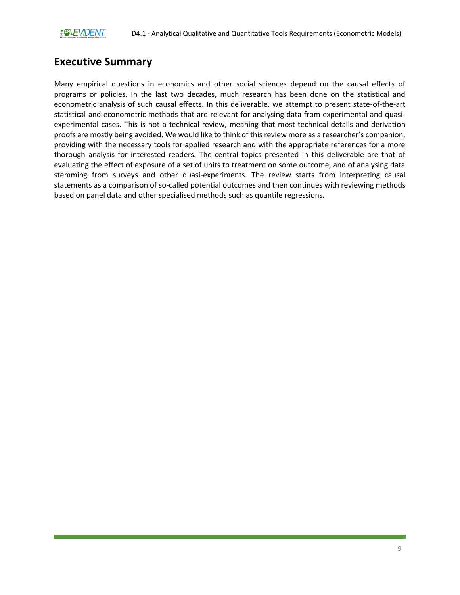# <span id="page-9-0"></span>**Executive Summary**

Many empirical questions in economics and other social sciences depend on the causal effects of programs or policies. In the last two decades, much research has been done on the statistical and econometric analysis of such causal effects. In this deliverable, we attempt to present state-of-the-art statistical and econometric methods that are relevant for analysing data from experimental and quasiexperimental cases. This is not a technical review, meaning that most technical details and derivation proofs are mostly being avoided. We would like to think of this review more as a researcher's companion, providing with the necessary tools for applied research and with the appropriate references for a more thorough analysis for interested readers. The central topics presented in this deliverable are that of evaluating the effect of exposure of a set of units to treatment on some outcome, and of analysing data stemming from surveys and other quasi-experiments. The review starts from interpreting causal statements as a comparison of so-called potential outcomes and then continues with reviewing methods based on panel data and other specialised methods such as quantile regressions.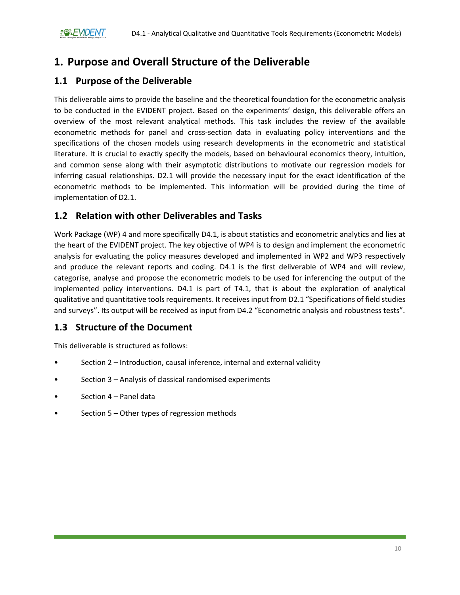# <span id="page-10-0"></span>**1. Purpose and Overall Structure of the Deliverable**

### <span id="page-10-1"></span>**1.1 Purpose of the Deliverable**

This deliverable aims to provide the baseline and the theoretical foundation for the econometric analysis to be conducted in the EVIDENT project. Based on the experiments' design, this deliverable offers an overview of the most relevant analytical methods. This task includes the review of the available econometric methods for panel and cross-section data in evaluating policy interventions and the specifications of the chosen models using research developments in the econometric and statistical literature. It is crucial to exactly specify the models, based on behavioural economics theory, intuition, and common sense along with their asymptotic distributions to motivate our regression models for inferring casual relationships. D2.1 will provide the necessary input for the exact identification of the econometric methods to be implemented. This information will be provided during the time of implementation of D2.1.

### <span id="page-10-2"></span>**1.2 Relation with other Deliverables and Tasks**

Work Package (WP) 4 and more specifically D4.1, is about statistics and econometric analytics and lies at the heart of the EVIDENT project. The key objective of WP4 is to design and implement the econometric analysis for evaluating the policy measures developed and implemented in WP2 and WP3 respectively and produce the relevant reports and coding. D4.1 is the first deliverable of WP4 and will review, categorise, analyse and propose the econometric models to be used for inferencing the output of the implemented policy interventions. D4.1 is part of T4.1, that is about the exploration of analytical qualitative and quantitative tools requirements. It receives input from D2.1 "Specifications of field studies and surveys". Its output will be received as input from D4.2 "Econometric analysis and robustness tests".

## <span id="page-10-3"></span>**1.3 Structure of the Document**

This deliverable is structured as follows:

- Section 2 Introduction, causal inference, internal and external validity
- Section 3 Analysis of classical randomised experiments
- Section 4 Panel data
- Section 5 Other types of regression methods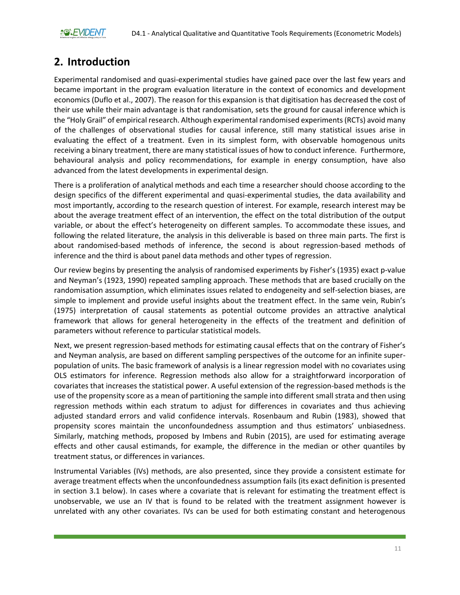# <span id="page-11-0"></span>**2. Introduction**

Experimental randomised and quasi-experimental studies have gained pace over the last few years and became important in the program evaluation literature in the context of economics and development economics (Duflo et al., 2007). The reason for this expansion is that digitisation has decreased the cost of their use while their main advantage is that randomisation, sets the ground for causal inference which is the "Holy Grail" of empirical research. Although experimental randomised experiments (RCTs) avoid many of the challenges of observational studies for causal inference, still many statistical issues arise in evaluating the effect of a treatment. Even in its simplest form, with observable homogenous units receiving a binary treatment, there are many statistical issues of how to conduct inference. Furthermore, behavioural analysis and policy recommendations, for example in energy consumption, have also advanced from the latest developments in experimental design.

There is a proliferation of analytical methods and each time a researcher should choose according to the design specifics of the different experimental and quasi-experimental studies, the data availability and most importantly, according to the research question of interest. For example, research interest may be about the average treatment effect of an intervention, the effect on the total distribution of the output variable, or about the effect's heterogeneity on different samples. To accommodate these issues, and following the related literature, the analysis in this deliverable is based on three main parts. The first is about randomised-based methods of inference, the second is about regression-based methods of inference and the third is about panel data methods and other types of regression.

Our review begins by presenting the analysis of randomised experiments by Fisher's (1935) exact p-value and Neyman's (1923, 1990) repeated sampling approach. These methods that are based crucially on the randomisation assumption, which eliminates issues related to endogeneity and self-selection biases, are simple to implement and provide useful insights about the treatment effect. In the same vein, Rubin's (1975) interpretation of causal statements as potential outcome provides an attractive analytical framework that allows for general heterogeneity in the effects of the treatment and definition of parameters without reference to particular statistical models.

Next, we present regression-based methods for estimating causal effects that on the contrary of Fisher's and Neyman analysis, are based on different sampling perspectives of the outcome for an infinite superpopulation of units. The basic framework of analysis is a linear regression model with no covariates using OLS estimators for inference. Regression methods also allow for a straightforward incorporation of covariates that increases the statistical power. A useful extension of the regression-based methods is the use of the propensity score as a mean of partitioning the sample into different small strata and then using regression methods within each stratum to adjust for differences in covariates and thus achieving adjusted standard errors and valid confidence intervals. Rosenbaum and Rubin (1983), showed that propensity scores maintain the unconfoundedness assumption and thus estimators' unbiasedness. Similarly, matching methods, proposed by Imbens and Rubin (2015), are used for estimating average effects and other causal estimands, for example, the difference in the median or other quantiles by treatment status, or differences in variances.

Instrumental Variables (IVs) methods, are also presented, since they provide a consistent estimate for average treatment effects when the unconfoundedness assumption fails (its exact definition is presented in section 3.1 below). In cases where a covariate that is relevant for estimating the treatment effect is unobservable, we use an IV that is found to be related with the treatment assignment however is unrelated with any other covariates. IVs can be used for both estimating constant and heterogenous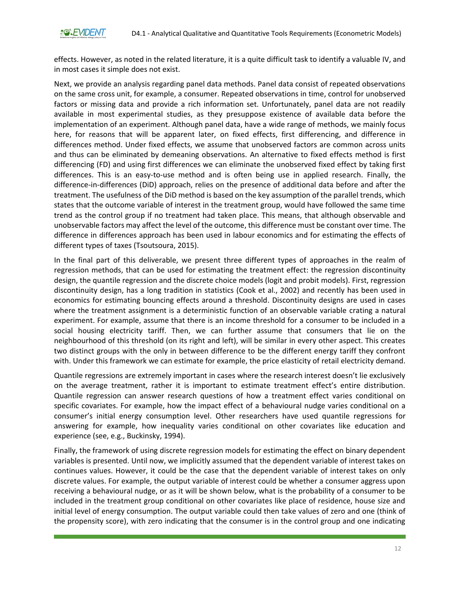effects. However, as noted in the related literature, it is a quite difficult task to identify a valuable IV, and in most cases it simple does not exist.

Next, we provide an analysis regarding panel data methods. Panel data consist of repeated observations on the same cross unit, for example, a consumer. Repeated observations in time, control for unobserved factors or missing data and provide a rich information set. Unfortunately, panel data are not readily available in most experimental studies, as they presuppose existence of available data before the implementation of an experiment. Although panel data, have a wide range of methods, we mainly focus here, for reasons that will be apparent later, on fixed effects, first differencing, and difference in differences method. Under fixed effects, we assume that unobserved factors are common across units and thus can be eliminated by demeaning observations. An alternative to fixed effects method is first differencing (FD) and using first differences we can eliminate the unobserved fixed effect by taking first differences. This is an easy-to-use method and is often being use in applied research. Finally, the difference-in-differences (DiD) approach, relies on the presence of additional data before and after the treatment. The usefulness of the DiD method is based on the key assumption of the parallel trends, which states that the outcome variable of interest in the treatment group, would have followed the same time trend as the control group if no treatment had taken place. This means, that although observable and unobservable factors may affect the level of the outcome, this difference must be constant over time. The difference in differences approach has been used in labour economics and for estimating the effects of different types of taxes (Tsoutsoura, 2015).

In the final part of this deliverable, we present three different types of approaches in the realm of regression methods, that can be used for estimating the treatment effect: the regression discontinuity design, the quantile regression and the discrete choice models (logit and probit models). First, regression discontinuity design, has a long tradition in statistics (Cook et al., 2002) and recently has been used in economics for estimating bouncing effects around a threshold. Discontinuity designs are used in cases where the treatment assignment is a deterministic function of an observable variable crating a natural experiment. For example, assume that there is an income threshold for a consumer to be included in a social housing electricity tariff. Then, we can further assume that consumers that lie on the neighbourhood of this threshold (on its right and left), will be similar in every other aspect. This creates two distinct groups with the only in between difference to be the different energy tariff they confront with. Under this framework we can estimate for example, the price elasticity of retail electricity demand.

Quantile regressions are extremely important in cases where the research interest doesn't lie exclusively on the average treatment, rather it is important to estimate treatment effect's entire distribution. Quantile regression can answer research questions of how a treatment effect varies conditional on specific covariates. For example, how the impact effect of a behavioural nudge varies conditional on a consumer's initial energy consumption level. Other researchers have used quantile regressions for answering for example, how inequality varies conditional on other covariates like education and experience (see, e.g., Buckinsky, 1994).

Finally, the framework of using discrete regression models for estimating the effect on binary dependent variables is presented. Until now, we implicitly assumed that the dependent variable of interest takes on continues values. However, it could be the case that the dependent variable of interest takes on only discrete values. For example, the output variable of interest could be whether a consumer aggress upon receiving a behavioural nudge, or as it will be shown below, what is the probability of a consumer to be included in the treatment group conditional on other covariates like place of residence, house size and initial level of energy consumption. The output variable could then take values of zero and one (think of the propensity score), with zero indicating that the consumer is in the control group and one indicating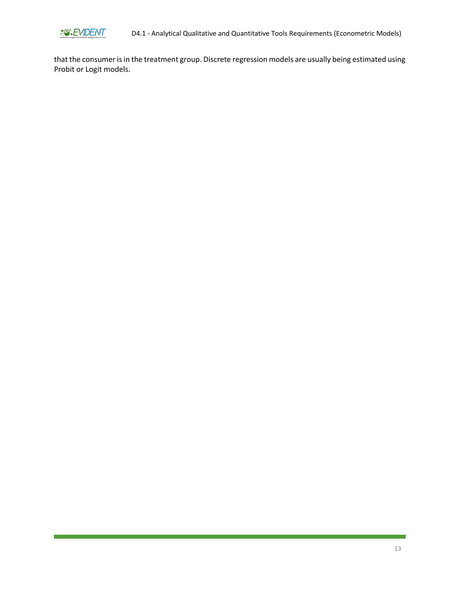

D4.1 - Analytical Qualitative and Quantitative Tools Requirements (Econometric Models)

that the consumer is in the treatment group. Discrete regression models are usually being estimated using Probit or Logit models.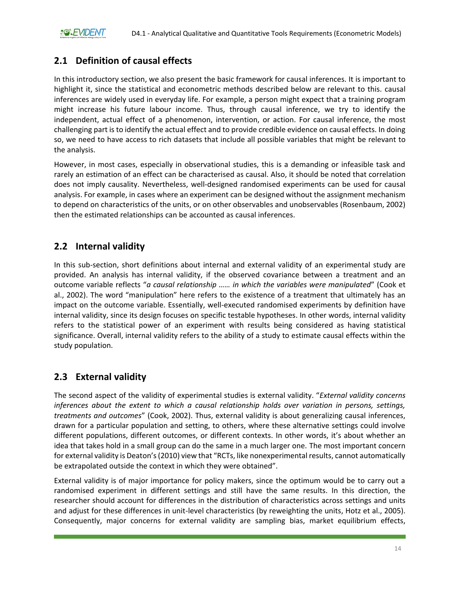## <span id="page-14-0"></span>**2.1 Definition of causal effects**

In this introductory section, we also present the basic framework for causal inferences. It is important to highlight it, since the statistical and econometric methods described below are relevant to this. causal inferences are widely used in everyday life. For example, a person might expect that a training program might increase his future labour income. Thus, through causal inference, we try to identify the independent, actual effect of a phenomenon, intervention, or action. For causal inference, the most challenging part is to identify the actual effect and to provide credible evidence on causal effects. In doing so, we need to have access to rich datasets that include all possible variables that might be relevant to the analysis.

However, in most cases, especially in observational studies, this is a demanding or infeasible task and rarely an estimation of an effect can be characterised as causal. Also, it should be noted that correlation does not imply causality. Nevertheless, well-designed randomised experiments can be used for causal analysis. For example, in cases where an experiment can be designed without the assignment mechanism to depend on characteristics of the units, or on other observables and unobservables (Rosenbaum, 2002) then the estimated relationships can be accounted as causal inferences.

### <span id="page-14-1"></span>**2.2 Internal validity**

In this sub-section, short definitions about internal and external validity of an experimental study are provided. An analysis has internal validity, if the observed covariance between a treatment and an outcome variable reflects "*a causal relationship …… in which the variables were manipulated*" (Cook et al., 2002). The word "manipulation" here refers to the existence of a treatment that ultimately has an impact on the outcome variable. Essentially, well-executed randomised experiments by definition have internal validity, since its design focuses on specific testable hypotheses. In other words, internal validity refers to the statistical power of an experiment with results being considered as having statistical significance. Overall, internal validity refers to the ability of a study to estimate causal effects within the study population.

## <span id="page-14-2"></span>**2.3 External validity**

The second aspect of the validity of experimental studies is external validity. "*External validity concerns inferences about the extent to which a causal relationship holds over variation in persons, settings, treatments and outcomes*" (Cook, 2002). Thus, external validity is about generalizing causal inferences, drawn for a particular population and setting, to others, where these alternative settings could involve different populations, different outcomes, or different contexts. In other words, it's about whether an idea that takes hold in a small group can do the same in a much larger one. The most important concern for external validity is Deaton's (2010) view that "RCTs, like nonexperimental results, cannot automatically be extrapolated outside the context in which they were obtained".

External validity is of major importance for policy makers, since the optimum would be to carry out a randomised experiment in different settings and still have the same results. In this direction, the researcher should account for differences in the distribution of characteristics across settings and units and adjust for these differences in unit-level characteristics (by reweighting the units, Hotz et al., 2005). Consequently, major concerns for external validity are sampling bias, market equilibrium effects,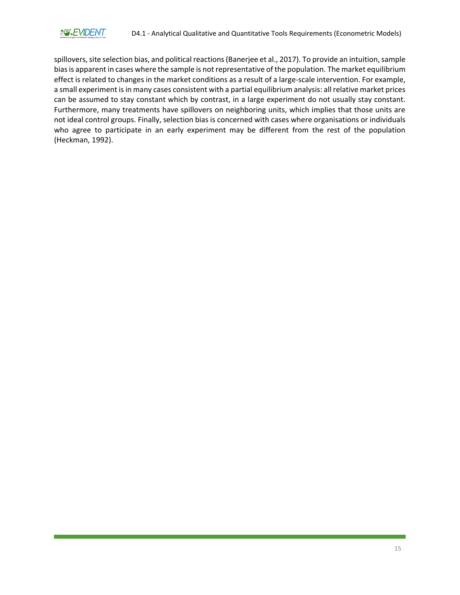

spillovers, site selection bias, and political reactions (Banerjee et al., 2017). To provide an intuition, sample bias is apparent in cases where the sample is not representative of the population. The market equilibrium effect is related to changes in the market conditions as a result of a large-scale intervention. For example, a small experiment is in many cases consistent with a partial equilibrium analysis: all relative market prices can be assumed to stay constant which by contrast, in a large experiment do not usually stay constant. Furthermore, many treatments have spillovers on neighboring units, which implies that those units are not ideal control groups. Finally, selection bias is concerned with cases where organisations or individuals who agree to participate in an early experiment may be different from the rest of the population (Heckman, 1992).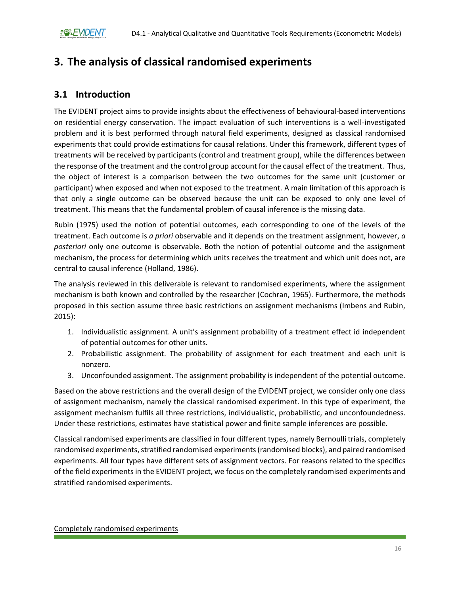# <span id="page-16-0"></span>**3. The analysis of classical randomised experiments**

### <span id="page-16-1"></span>**3.1 Introduction**

The EVIDENT project aims to provide insights about the effectiveness of behavioural-based interventions on residential energy conservation. The impact evaluation of such interventions is a well-investigated problem and it is best performed through natural field experiments, designed as classical randomised experiments that could provide estimations for causal relations. Under this framework, different types of treatments will be received by participants (control and treatment group), while the differences between the response of the treatment and the control group account for the causal effect of the treatment. Thus, the object of interest is a comparison between the two outcomes for the same unit (customer or participant) when exposed and when not exposed to the treatment. A main limitation of this approach is that only a single outcome can be observed because the unit can be exposed to only one level of treatment. This means that the fundamental problem of causal inference is the missing data.

Rubin (1975) used the notion of potential outcomes, each corresponding to one of the levels of the treatment. Each outcome is *a priori* observable and it depends on the treatment assignment, however, *a posteriori* only one outcome is observable. Both the notion of potential outcome and the assignment mechanism, the process for determining which units receives the treatment and which unit does not, are central to causal inference (Holland, 1986).

The analysis reviewed in this deliverable is relevant to randomised experiments, where the assignment mechanism is both known and controlled by the researcher (Cochran, 1965). Furthermore, the methods proposed in this section assume three basic restrictions on assignment mechanisms (Imbens and Rubin, 2015):

- 1. Individualistic assignment. A unit's assignment probability of a treatment effect id independent of potential outcomes for other units.
- 2. Probabilistic assignment. The probability of assignment for each treatment and each unit is nonzero.
- 3. Unconfounded assignment. The assignment probability is independent of the potential outcome.

Based on the above restrictions and the overall design of the EVIDENT project, we consider only one class of assignment mechanism, namely the classical randomised experiment. In this type of experiment, the assignment mechanism fulfils all three restrictions, individualistic, probabilistic, and unconfoundedness. Under these restrictions, estimates have statistical power and finite sample inferences are possible.

Classical randomised experiments are classified in four different types, namely Bernoulli trials, completely randomised experiments, stratified randomised experiments (randomised blocks), and paired randomised experiments. All four types have different sets of assignment vectors. For reasons related to the specifics of the field experiments in the EVIDENT project, we focus on the completely randomised experiments and stratified randomised experiments.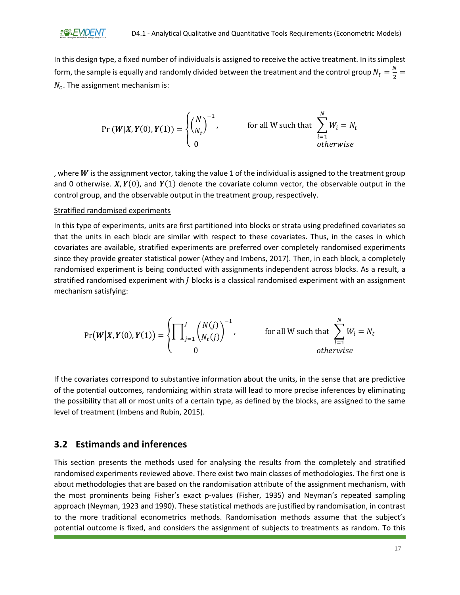In this design type, a fixed number of individuals is assigned to receive the active treatment. In its simplest form, the sample is equally and randomly divided between the treatment and the control group  $N_t = \frac{N}{2}$  $\frac{1}{2}$  $N_c$ . The assignment mechanism is:

$$
\Pr\left(\boldsymbol{W}|\boldsymbol{X},\boldsymbol{Y}(0),\boldsymbol{Y}(1)\right) = \begin{cases} \binom{N}{N_t}^{-1}, & \text{for all } W \text{ such that } \sum_{i=1}^{N} W_i = N_t\\ 0 & \text{otherwise} \end{cases}
$$

, where  $W$  is the assignment vector, taking the value 1 of the individual is assigned to the treatment group and 0 otherwise.  $X, Y(0)$ , and  $Y(1)$  denote the covariate column vector, the observable output in the control group, and the observable output in the treatment group, respectively.

#### Stratified randomised experiments

In this type of experiments, units are first partitioned into blocks or strata using predefined covariates so that the units in each block are similar with respect to these covariates. Thus, in the cases in which covariates are available, stratified experiments are preferred over completely randomised experiments since they provide greater statistical power (Athey and Imbens, 2017). Then, in each block, a completely randomised experiment is being conducted with assignments independent across blocks. As a result, a stratified randomised experiment with  $J$  blocks is a classical randomised experiment with an assignment mechanism satisfying:

$$
\Pr(\boldsymbol{W}|\boldsymbol{X},\boldsymbol{Y}(0),\boldsymbol{Y}(1)) = \begin{cases} \prod_{j=1}^{J} {N(j) \choose N_t(j)}^{-1}, & \text{for all } W \text{ such that } \sum_{i=1}^{N} W_i = N_t \\ 0 & \text{otherwise} \end{cases}
$$

If the covariates correspond to substantive information about the units, in the sense that are predictive of the potential outcomes, randomizing within strata will lead to more precise inferences by eliminating the possibility that all or most units of a certain type, as defined by the blocks, are assigned to the same level of treatment (Imbens and Rubin, 2015).

#### <span id="page-17-0"></span>**3.2 Estimands and inferences**

This section presents the methods used for analysing the results from the completely and stratified randomised experiments reviewed above. There exist two main classes of methodologies. The first one is about methodologies that are based on the randomisation attribute of the assignment mechanism, with the most prominents being Fisher's exact p-values (Fisher, 1935) and Neyman's repeated sampling approach (Neyman, 1923 and 1990). These statistical methods are justified by randomisation, in contrast to the more traditional econometrics methods. Randomisation methods assume that the subject's potential outcome is fixed, and considers the assignment of subjects to treatments as random. To this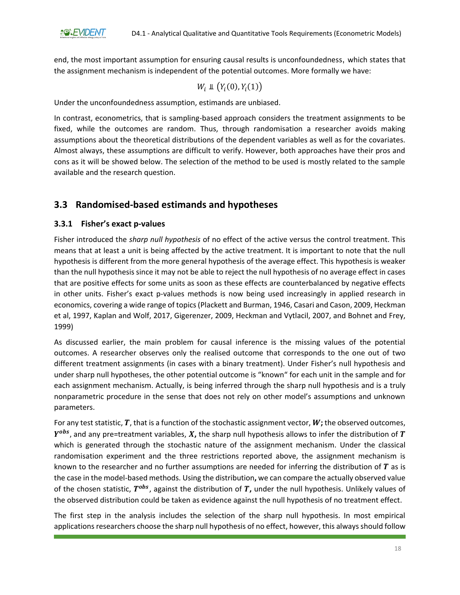end, the most important assumption for ensuring causal results is unconfoundedness, which states that the assignment mechanism is independent of the potential outcomes. More formally we have:

$$
W_i \perp \!\!\! \perp \big(Y_i(0), Y_i(1)\big)
$$

Under the unconfoundedness assumption, estimands are unbiased.

In contrast, econometrics, that is sampling-based approach considers the treatment assignments to be fixed, while the outcomes are random. Thus, through randomisation a researcher avoids making assumptions about the theoretical distributions of the dependent variables as well as for the covariates. Almost always, these assumptions are difficult to verify. However, both approaches have their pros and cons as it will be showed below. The selection of the method to be used is mostly related to the sample available and the research question.

## <span id="page-18-0"></span>**3.3 Randomised-based estimands and hypotheses**

#### <span id="page-18-1"></span>**3.3.1 Fisher's exact p-values**

Fisher introduced the *sharp null hypothesis* of no effect of the active versus the control treatment. This means that at least a unit is being affected by the active treatment. It is important to note that the null hypothesis is different from the more general hypothesis of the average effect. This hypothesis is weaker than the null hypothesis since it may not be able to reject the null hypothesis of no average effect in cases that are positive effects for some units as soon as these effects are counterbalanced by negative effects in other units. Fisher's exact p-values methods is now being used increasingly in applied research in economics, covering a wide range of topics (Plackett and Burman, 1946, Casari and Cason, 2009, Heckman et al, 1997, Kaplan and Wolf, 2017, Gigerenzer, 2009, Heckman and Vytlacil, 2007, and Bohnet and Frey, 1999)

As discussed earlier, the main problem for causal inference is the missing values of the potential outcomes. A researcher observes only the realised outcome that corresponds to the one out of two different treatment assignments (in cases with a binary treatment). Under Fisher's null hypothesis and under sharp null hypotheses, the other potential outcome is "known" for each unit in the sample and for each assignment mechanism. Actually, is being inferred through the sharp null hypothesis and is a truly nonparametric procedure in the sense that does not rely on other model's assumptions and unknown parameters.

For any test statistic,  $T$ , that is a function of the stochastic assignment vector,  $W$ ; the observed outcomes,  $Y^{obs}$ , and any pre=treatment variables,  $X$ , the sharp null hypothesis allows to infer the distribution of  $T$ which is generated through the stochastic nature of the assignment mechanism. Under the classical randomisation experiment and the three restrictions reported above, the assignment mechanism is known to the researcher and no further assumptions are needed for inferring the distribution of  $T$  as is the case in the model-based methods. Using the distribution**,** we can compare the actually observed value of the chosen statistic,  $T^{obs}$ , against the distribution of  $T$ , under the null hypothesis. Unlikely values of the observed distribution could be taken as evidence against the null hypothesis of no treatment effect.

The first step in the analysis includes the selection of the sharp null hypothesis. In most empirical applications researchers choose the sharp null hypothesis of no effect, however, this always should follow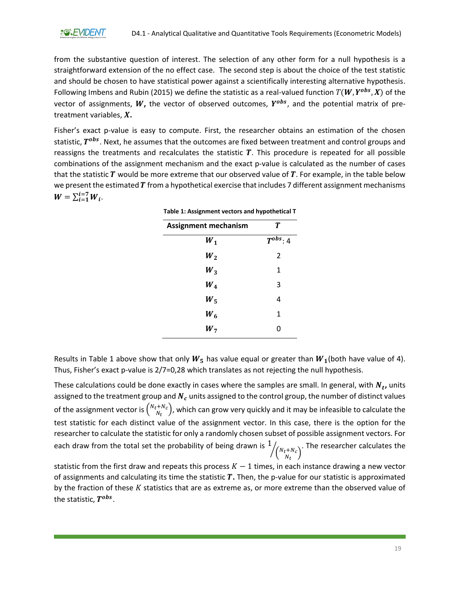from the substantive question of interest. The selection of any other form for a null hypothesis is a straightforward extension of the no effect case. The second step is about the choice of the test statistic and should be chosen to have statistical power against a scientifically interesting alternative hypothesis. Following Imbens and Rubin (2015) we define the statistic as a real-valued function  $T(W, Y^{obs}, X)$  of the vector of assignments,  $W$ , the vector of observed outcomes,  $Y^{obs}$ , and the potential matrix of pretreatment variables, X.

<span id="page-19-0"></span>Fisher's exact p-value is easy to compute. First, the researcher obtains an estimation of the chosen statistic,  $T^{obs}$ . Next, he assumes that the outcomes are fixed between treatment and control groups and reassigns the treatments and recalculates the statistic  $T$ . This procedure is repeated for all possible combinations of the assignment mechanism and the exact p-value is calculated as the number of cases that the statistic  $T$  would be more extreme that our observed value of  $T$ . For example, in the table below we present the estimated  $T$  from a hypothetical exercise that includes 7 different assignment mechanisms  $W = \sum_{i=1}^{i=7} W_i$ .

| Table 1: Assignment vectors and hypothetical T |                |  |
|------------------------------------------------|----------------|--|
| T<br><b>Assignment mechanism</b>               |                |  |
| $W_1$                                          | $T^{obs}: 4$   |  |
| $W_2$                                          | $\overline{2}$ |  |
| $W_3$                                          | 1              |  |
| $W_4$                                          | 3              |  |
| $W_{\mathbf{S}}$                               | 4              |  |
| $W_6$                                          | 1              |  |
| $W_7$                                          | 0              |  |

Results in Table 1 above show that only  $W_5$  has value equal or greater than  $W_1$ (both have value of 4). Thus, Fisher's exact p-value is 2/7=0,28 which translates as not rejecting the null hypothesis.

These calculations could be done exactly in cases where the samples are small. In general, with  $N_t$ , units assigned to the treatment group and  $N_c$  units assigned to the control group, the number of distinct values of the assignment vector is  $\binom{N_t+N_c}{N_c}$  $\binom{1+\mathcal{N}_C}{\mathcal{N}_t}$ , which can grow very quickly and it may be infeasible to calculate the test statistic for each distinct value of the assignment vector. In this case, there is the option for the researcher to calculate the statistic for only a randomly chosen subset of possible assignment vectors. For each draw from the total set the probability of being drawn is  $1$  $\binom{N_t+N_c}{N}$  $\sqrt{\binom{N_t+N_c}{N_t}}$ . The researcher calculates the

statistic from the first draw and repeats this process  $K - 1$  times, in each instance drawing a new vector of assignments and calculating its time the statistic **.** Then, the p-value for our statistic is approximated by the fraction of these  $K$  statistics that are as extreme as, or more extreme than the observed value of the statistic,  $T^{obs}.$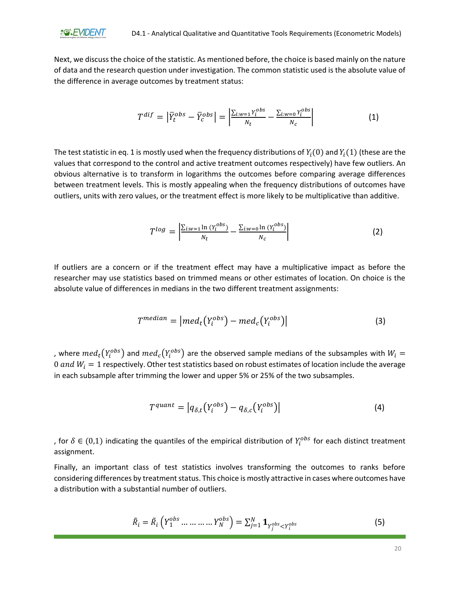

Next, we discuss the choice of the statistic. As mentioned before, the choice is based mainly on the nature of data and the research question under investigation. The common statistic used is the absolute value of the difference in average outcomes by treatment status:

$$
T^{dif} = \left| \overline{Y}_t^{obs} - \overline{Y}_c^{obs} \right| = \left| \frac{\sum_{i:w=1} Y_i^{obs}}{N_t} - \frac{\sum_{i:w=0} Y_i^{obs}}{N_c} \right| \tag{1}
$$

The test statistic in eq. 1 is mostly used when the frequency distributions of  $Y_i(0)$  and  $Y_i(1)$  (these are the values that correspond to the control and active treatment outcomes respectively) have few outliers. An obvious alternative is to transform in logarithms the outcomes before comparing average differences between treatment levels. This is mostly appealing when the frequency distributions of outcomes have outliers, units with zero values, or the treatment effect is more likely to be multiplicative than additive.

$$
T^{log} = \left| \frac{\sum_{i:w=1} \ln(Y_i^{obs})}{N_t} - \frac{\sum_{i:w=0} \ln(Y_i^{obs})}{N_c} \right| \tag{2}
$$

If outliers are a concern or if the treatment effect may have a multiplicative impact as before the researcher may use statistics based on trimmed means or other estimates of location. On choice is the absolute value of differences in medians in the two different treatment assignments:

$$
T^{median} = |med_t(Y_i^{obs}) - med_c(Y_i^{obs})|
$$
\n(3)

, where  $med_t\big(Y_i^{obs}\big)$  and  $med_c\big(Y_i^{obs}\big)$  are the observed sample medians of the subsamples with  $W_l =$ 0 and  $W_i = 1$  respectively. Other test statistics based on robust estimates of location include the average in each subsample after trimming the lower and upper 5% or 25% of the two subsamples.

$$
T^{quant} = |q_{\delta,t}(Y_i^{obs}) - q_{\delta,c}(Y_i^{obs})|
$$
\n(4)

, for  $\delta \in (0,1)$  indicating the quantiles of the empirical distribution of  $Y_i^{obs}$  for each distinct treatment assignment.

Finally, an important class of test statistics involves transforming the outcomes to ranks before considering differences by treatment status. This choice is mostly attractive in cases where outcomes have a distribution with a substantial number of outliers.

$$
\tilde{R}_i = \tilde{R}_i \left( Y_1^{obs} \dots \dots \dots Y_N^{obs} \right) = \sum_{j=1}^N \mathbf{1}_{Y_j^{obs} < Y_i^{obs}} \tag{5}
$$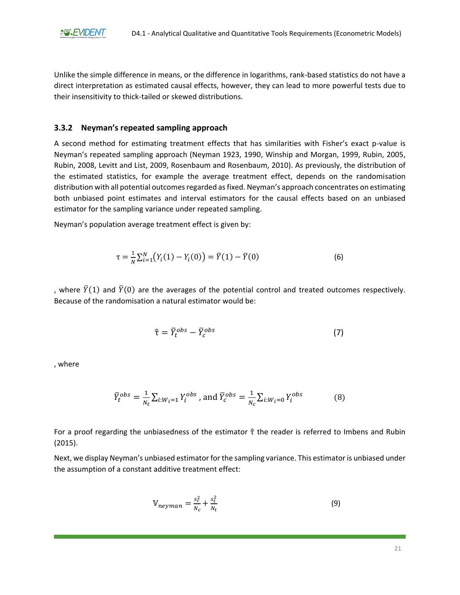Unlike the simple difference in means, or the difference in logarithms, rank-based statistics do not have a direct interpretation as estimated causal effects, however, they can lead to more powerful tests due to their insensitivity to thick-tailed or skewed distributions.

#### <span id="page-21-0"></span>**3.3.2 Neyman's repeated sampling approach**

A second method for estimating treatment effects that has similarities with Fisher's exact p-value is Neyman's repeated sampling approach (Neyman 1923, 1990, Winship and Morgan, 1999, Rubin, 2005, Rubin, 2008, Levitt and List, 2009, Rosenbaum and Rosenbaum, 2010). As previously, the distribution of the estimated statistics, for example the average treatment effect, depends on the randomisation distribution with all potential outcomes regarded as fixed. Neyman's approach concentrates on estimating both unbiased point estimates and interval estimators for the causal effects based on an unbiased estimator for the sampling variance under repeated sampling.

Neyman's population average treatment effect is given by:

$$
\tau = \frac{1}{N} \sum_{i=1}^{N} \left( Y_i(1) - Y_i(0) \right) = \overline{Y}(1) - \overline{Y}(0) \tag{6}
$$

, where  $\bar{Y}(1)$  and  $\bar{Y}(0)$  are the averages of the potential control and treated outcomes respectively. Because of the randomisation a natural estimator would be:

$$
\hat{\tau} = \bar{Y}_t^{obs} - \bar{Y}_c^{obs} \tag{7}
$$

, where

$$
\overline{Y}_t^{obs} = \frac{1}{N_t} \sum_{i:W_i=1} Y_i^{obs}, \text{ and } \overline{Y}_c^{obs} = \frac{1}{N_c} \sum_{i:W_i=0} Y_i^{obs}
$$
 (8)

For a proof regarding the unbiasedness of the estimator  $\hat{\tau}$  the reader is referred to Imbens and Rubin (2015).

Next, we display Neyman's unbiased estimator for the sampling variance. This estimator is unbiased under the assumption of a constant additive treatment effect:

$$
W_{neyman} = \frac{s_c^2}{N_c} + \frac{s_t^2}{N_t}
$$
 (9)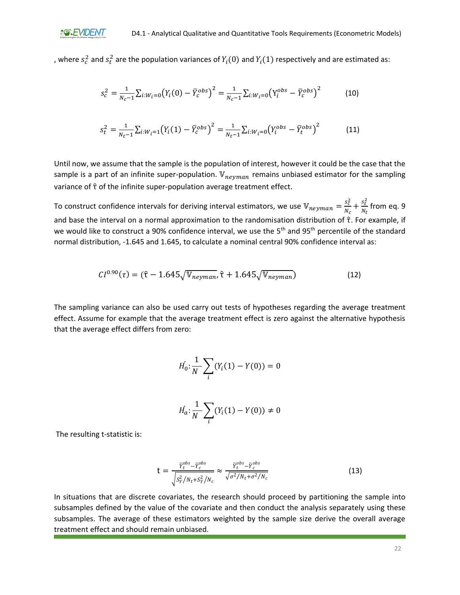, where  $s_c^2$  and  $s_t^2$  are the population variances of  $Y_i(0)$  and  $Y_i(1)$  respectively and are estimated as:

$$
s_c^2 = \frac{1}{N_c - 1} \sum_{i:W_i = 0} (Y_i(0) - \bar{Y}_c^{obs})^2 = \frac{1}{N_c - 1} \sum_{i:W_i = 0} (Y_i^{obs} - \bar{Y}_c^{obs})^2
$$
(10)

$$
s_t^2 = \frac{1}{N_t - 1} \sum_{i:W_i = 1} (Y_i(1) - \overline{Y}_c^{obs})^2 = \frac{1}{N_t - 1} \sum_{i:W_i = 0} (Y_i^{obs} - \overline{Y}_t^{obs})^2
$$
(11)

Until now, we assume that the sample is the population of interest, however it could be the case that the sample is a part of an infinite super-population.  $V_{neyman}$  remains unbiased estimator for the sampling variance of  $\hat{\tau}$  of the infinite super-population average treatment effect.

To construct confidence intervals for deriving interval estimators, we use  $\mathbb{V}_{neyman} = \frac{s_c^2}{N}$  $\frac{s_c^2}{N_c} + \frac{s_t^2}{N_t}$  $\frac{s_t}{N_t}$  from eq. 9 and base the interval on a normal approximation to the randomisation distribution of τ̂. For example, if we would like to construct a 90% confidence interval, we use the 5<sup>th</sup> and 95<sup>th</sup> percentile of the standard normal distribution, -1.645 and 1.645, to calculate a nominal central 90% confidence interval as:

$$
CI^{0.90}(\tau) = (\hat{\tau} - 1.645\sqrt{\mathbb{V}_{neyman}}, \hat{\tau} + 1.645\sqrt{\mathbb{V}_{neyman}})
$$
(12)

The sampling variance can also be used carry out tests of hypotheses regarding the average treatment effect. Assume for example that the average treatment effect is zero against the alternative hypothesis that the average effect differs from zero:

$$
H_0: \frac{1}{N} \sum_i (Y_i(1) - Y(0)) = 0
$$

$$
H_a: \frac{1}{N} \sum_i (Y_i(1) - Y(0)) \neq 0
$$

The resulting t-statistic is:

$$
t = \frac{\overline{Y}_t^{obs} - \overline{Y}_c^{obs}}{\sqrt{S_Y^2 / N_t + S_Y^2 / N_c}} \approx \frac{\overline{Y}_t^{obs} - \overline{Y}_c^{obs}}{\sqrt{\sigma^2 / N_t + \sigma^2 / N_c}}
$$
(13)

In situations that are discrete covariates, the research should proceed by partitioning the sample into subsamples defined by the value of the covariate and then conduct the analysis separately using these subsamples. The average of these estimators weighted by the sample size derive the overall average treatment effect and should remain unbiased.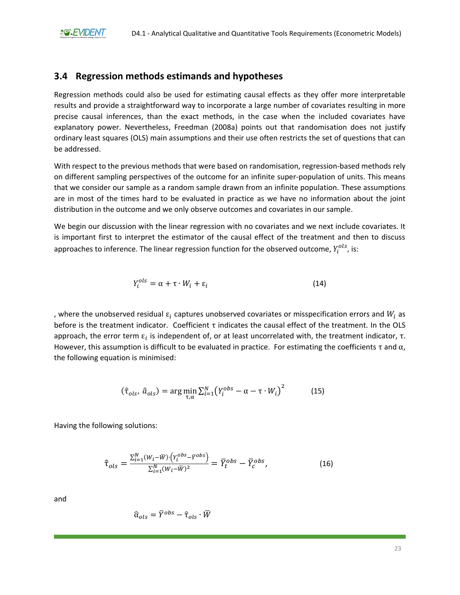### <span id="page-23-0"></span>**3.4 Regression methods estimands and hypotheses**

Regression methods could also be used for estimating causal effects as they offer more interpretable results and provide a straightforward way to incorporate a large number of covariates resulting in more precise causal inferences, than the exact methods, in the case when the included covariates have explanatory power. Nevertheless, Freedman (2008a) points out that randomisation does not justify ordinary least squares (OLS) main assumptions and their use often restricts the set of questions that can be addressed.

With respect to the previous methods that were based on randomisation, regression-based methods rely on different sampling perspectives of the outcome for an infinite super-population of units. This means that we consider our sample as a random sample drawn from an infinite population. These assumptions are in most of the times hard to be evaluated in practice as we have no information about the joint distribution in the outcome and we only observe outcomes and covariates in our sample.

We begin our discussion with the linear regression with no covariates and we next include covariates. It is important first to interpret the estimator of the causal effect of the treatment and then to discuss approaches to inference. The linear regression function for the observed outcome,  $Y_{i}^{ols}$ , is:

$$
Y_i^{ols} = \alpha + \tau \cdot W_i + \varepsilon_i \tag{14}
$$

, where the unobserved residual  $\varepsilon_i$  captures unobserved covariates or misspecification errors and  $W_i$  as before is the treatment indicator. Coefficient τ indicates the causal effect of the treatment. In the OLS approach, the error term  $ε<sub>i</sub>$  is independent of, or at least uncorrelated with, the treatment indicator, τ. However, this assumption is difficult to be evaluated in practice. For estimating the coefficients  $\tau$  and  $\alpha$ , the following equation is minimised:

$$
(\hat{\tau}_{ols}, \hat{a}_{ols}) = \arg\min_{\tau, \alpha} \sum_{i=1}^{N} (Y_i^{obs} - \alpha - \tau \cdot W_i)^2
$$
 (15)

Having the following solutions:

$$
\hat{\tau}_{ols} = \frac{\sum_{i=1}^{N} (W_i - \overline{W}) \cdot (Y_i^{obs} - \overline{Y}^{obs})}{\sum_{i=1}^{N} (W_i - \overline{W})^2} = \overline{Y}_t^{obs} - \overline{Y}_c^{obs},
$$
\n(16)

and

$$
\widehat{\alpha}_{ols} = \overline{Y}^{obs} - \widehat{\tau}_{ols} \cdot \overline{W}
$$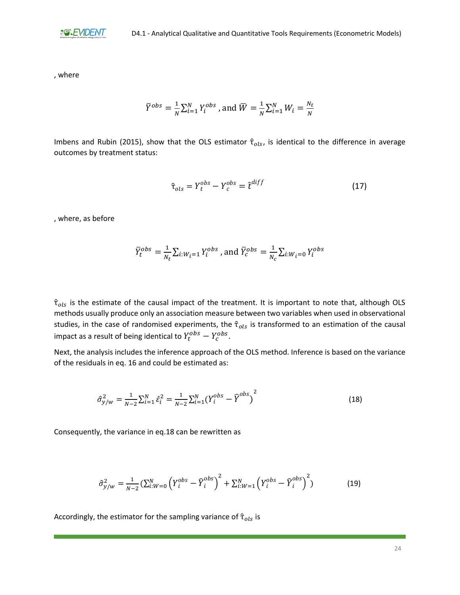

, where

$$
\overline{Y}^{obs} = \frac{1}{N} \sum_{i=1}^{N} Y_i^{obs}
$$
, and 
$$
\overline{W} = \frac{1}{N} \sum_{i=1}^{N} W_i = \frac{N_t}{N}
$$

Imbens and Rubin (2015), show that the OLS estimator  $\hat{\tau}_{ols}$ , is identical to the difference in average outcomes by treatment status:

$$
\hat{\tau}_{ols} = Y_t^{obs} - Y_c^{obs} = \hat{t}^{diff} \tag{17}
$$

, where, as before

$$
\bar{Y}_t^{obs} = \frac{1}{N_t}\sum_{i:W_l=1}Y_l^{obs}
$$
 , and  $\bar{Y}_c^{obs} = \frac{1}{N_c}\sum_{i:W_l=0}Y_l^{obs}$ 

 $\hat{\tau}_{ols}$  is the estimate of the causal impact of the treatment. It is important to note that, although OLS methods usually produce only an association measure between two variables when used in observational studies, in the case of randomised experiments, the  $\hat{\tau}_{ols}$  is transformed to an estimation of the causal impact as a result of being identical to  $Y_t^{obs} - Y_c^{obs}$ .

Next, the analysis includes the inference approach of the OLS method. Inference is based on the variance of the residuals in eq. 16 and could be estimated as:

$$
\hat{\sigma}_{y/w}^2 = \frac{1}{N-2} \sum_{i=1}^{N} \hat{\varepsilon}_i^2 = \frac{1}{N-2} \sum_{i=1}^{N} (Y_i^{obs} - \hat{Y}^{obs})^2
$$
\n(18)

Consequently, the variance in eq.18 can be rewritten as

$$
\hat{\sigma}_{y/w}^2 = \frac{1}{N-2} \left( \sum_{i:W=0}^N \left( Y_i^{obs} - \hat{Y}_i^{obs} \right)^2 + \sum_{i:W=1}^N \left( Y_i^{obs} - \hat{Y}_i^{obs} \right)^2 \right)
$$
(19)

Accordingly, the estimator for the sampling variance of  $\hat{\tau}_{ols}$  is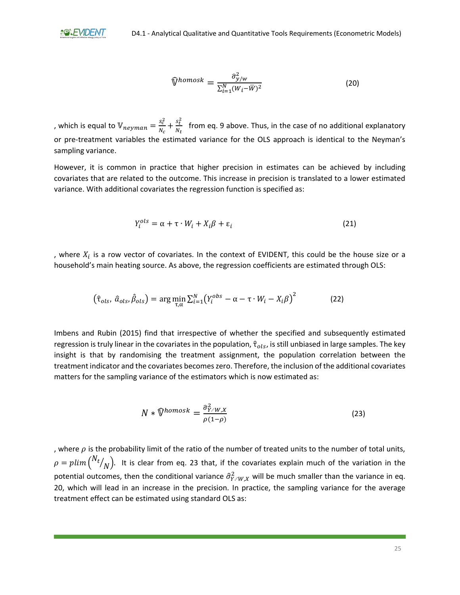$$
\widehat{\mathbb{V}}^{homosk} = \frac{\widehat{\sigma}_{y/w}^2}{\sum_{i=1}^N (W_i - \overline{W})^2}
$$
(20)

, which is equal to  $\mathbb{V}_{neyman} = \frac{s_c^2}{N}$  $\frac{s_c^2}{N_c} + \frac{s_t^2}{N_t}$  $\frac{\partial f}{\partial r}$  from eq. 9 above. Thus, in the case of no additional explanatory or pre-treatment variables the estimated variance for the OLS approach is identical to the Neyman's sampling variance.

However, it is common in practice that higher precision in estimates can be achieved by including covariates that are related to the outcome. This increase in precision is translated to a lower estimated variance. With additional covariates the regression function is specified as:

$$
Y_i^{ols} = \alpha + \tau \cdot W_i + X_i \beta + \varepsilon_i \tag{21}
$$

, where  $X_i$  is a row vector of covariates. In the context of EVIDENT, this could be the house size or a household's main heating source. As above, the regression coefficients are estimated through OLS:

$$
\left(\hat{\tau}_{ols}, \hat{a}_{ols}, \hat{\beta}_{ols}\right) = \arg\min_{\tau, \alpha} \sum_{i=1}^{N} \left(Y_i^{obs} - \alpha - \tau \cdot W_i - X_i \beta\right)^2 \tag{22}
$$

Imbens and Rubin (2015) find that irrespective of whether the specified and subsequently estimated regression is truly linear in the covariates in the population,  $\hat{\tau}_{ols}$ , is still unbiased in large samples. The key insight is that by randomising the treatment assignment, the population correlation between the treatment indicator and the covariates becomeszero. Therefore, the inclusion of the additional covariates matters for the sampling variance of the estimators which is now estimated as:

$$
N * \widehat{\mathbb{V}}^{homosk} = \frac{\widehat{\sigma}_{Y \cdot W, X}^2}{\rho(1 - \rho)}
$$
(23)

, where  $\rho$  is the probability limit of the ratio of the number of treated units to the number of total units,  $\rho = p$ lim ( $^{N_t}$  $\mathcal{N}_{N} ).$  It is clear from eq. 23 that, if the covariates explain much of the variation in the potential outcomes, then the conditional variance  $\hat{\sigma}_{Y\cdot W,X}^2$  will be much smaller than the variance in eq. 20, which will lead in an increase in the precision. In practice, the sampling variance for the average treatment effect can be estimated using standard OLS as: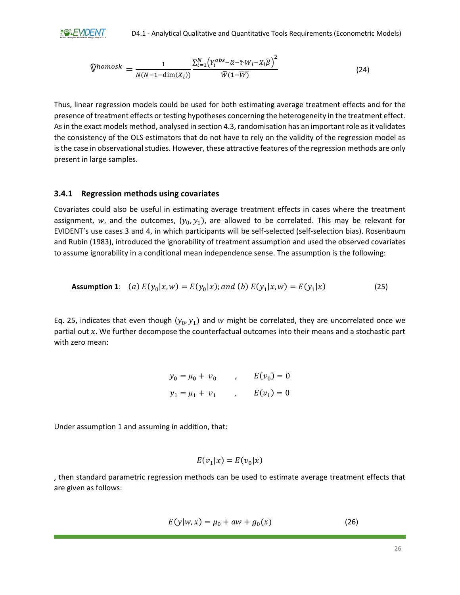**AGREMDENT** 

$$
\widehat{\mathbb{V}}^{homosk} = \frac{1}{N(N-1-\dim(X_i))} \frac{\sum_{i=1}^{N} \left( Y_i^{obs} - \widehat{\alpha} - \widehat{\tau} \cdot W_i - X_i \widehat{\beta} \right)^2}{\overline{W}(1-\overline{W})}
$$
(24)

Thus, linear regression models could be used for both estimating average treatment effects and for the presence of treatment effects or testing hypotheses concerning the heterogeneity in the treatment effect. As in the exact models method, analysed in section 4.3, randomisation has an important role as it validates the consistency of the OLS estimators that do not have to rely on the validity of the regression model as is the case in observational studies. However, these attractive features of the regression methods are only present in large samples.

#### <span id="page-26-0"></span>**3.4.1 Regression methods using covariates**

Covariates could also be useful in estimating average treatment effects in cases where the treatment assignment, w, and the outcomes,  $(y_0, y_1)$ , are allowed to be correlated. This may be relevant for EVIDENT's use cases 3 and 4, in which participants will be self-selected (self-selection bias). Rosenbaum and Rubin (1983), introduced the ignorability of treatment assumption and used the observed covariates to assume ignorability in a conditional mean independence sense. The assumption is the following:

**Assumption 1**: (a) 
$$
E(y_0|x, w) = E(y_0|x)
$$
; and (b)  $E(y_1|x, w) = E(y_1|x)$  (25)

Eq. 25, indicates that even though  $(y_0, y_1)$  and w might be correlated, they are uncorrelated once we partial out  $x$ . We further decompose the counterfactual outcomes into their means and a stochastic part with zero mean:

$$
y_0 = \mu_0 + v_0
$$
,  $E(v_0) = 0$   
 $y_1 = \mu_1 + v_1$ ,  $E(v_1) = 0$ 

Under assumption 1 and assuming in addition, that:

$$
E(v_1|x) = E(v_0|x)
$$

, then standard parametric regression methods can be used to estimate average treatment effects that are given as follows:

$$
E(y|w, x) = \mu_0 + aw + g_0(x)
$$
 (26)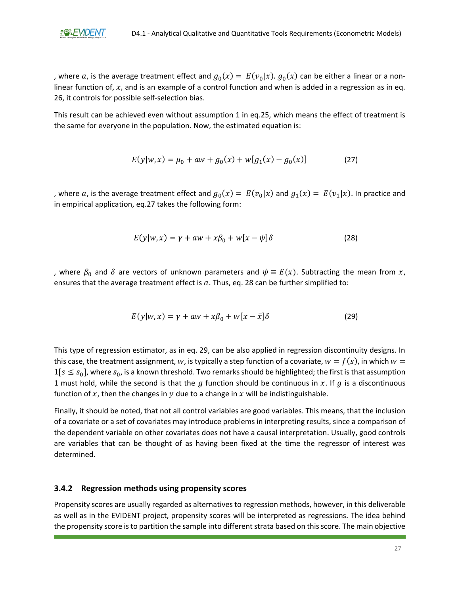, where  $a$ , is the average treatment effect and  $g_0(x) = E(v_0|x)$ .  $g_0(x)$  can be either a linear or a nonlinear function of,  $x$ , and is an example of a control function and when is added in a regression as in eq. 26, it controls for possible self-selection bias.

This result can be achieved even without assumption 1 in eq.25, which means the effect of treatment is the same for everyone in the population. Now, the estimated equation is:

$$
E(y|w, x) = \mu_0 + aw + g_0(x) + w[g_1(x) - g_0(x)]
$$
\n(27)

, where a, is the average treatment effect and  $g_0(x) = E(v_0|x)$  and  $g_1(x) = E(v_1|x)$ . In practice and in empirical application, eq.27 takes the following form:

$$
E(y|w,x) = \gamma + aw + x\beta_0 + w[x - \psi]\delta
$$
 (28)

, where  $\beta_0$  and  $\delta$  are vectors of unknown parameters and  $\psi \equiv E(x)$ . Subtracting the mean from x, ensures that the average treatment effect is  $a$ . Thus, eq. 28 can be further simplified to:

$$
E(y|w,x) = \gamma + aw + x\beta_0 + w[x - \bar{x}]\delta
$$
 (29)

This type of regression estimator, as in eq. 29, can be also applied in regression discontinuity designs. In this case, the treatment assignment, w, is typically a step function of a covariate,  $w = f(s)$ , in which  $w =$  $1[s \le s_0]$ , where  $s_0$ , is a known threshold. Two remarks should be highlighted; the first is that assumption 1 must hold, while the second is that the  $q$  function should be continuous in  $x$ . If  $q$  is a discontinuous function of  $x$ , then the changes in  $y$  due to a change in  $x$  will be indistinguishable.

Finally, it should be noted, that not all control variables are good variables. This means, that the inclusion of a covariate or a set of covariates may introduce problems in interpreting results, since a comparison of the dependent variable on other covariates does not have a causal interpretation. Usually, good controls are variables that can be thought of as having been fixed at the time the regressor of interest was determined.

#### <span id="page-27-0"></span>**3.4.2 Regression methods using propensity scores**

Propensity scores are usually regarded as alternatives to regression methods, however, in this deliverable as well as in the EVIDENT project, propensity scores will be interpreted as regressions. The idea behind the propensity score is to partition the sample into different strata based on this score. The main objective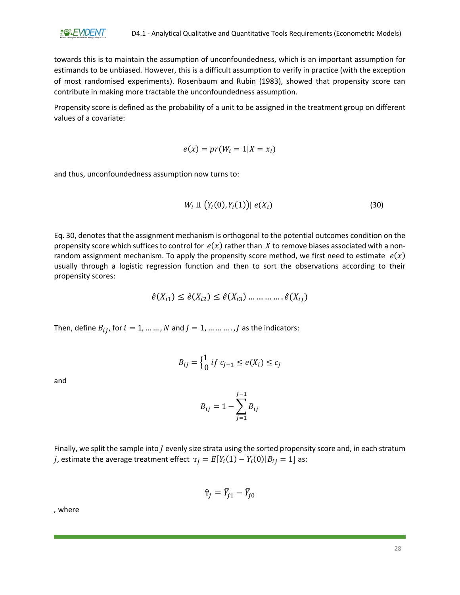

towards this is to maintain the assumption of unconfoundedness, which is an important assumption for estimands to be unbiased. However, this is a difficult assumption to verify in practice (with the exception of most randomised experiments). Rosenbaum and Rubin (1983), showed that propensity score can contribute in making more tractable the unconfoundedness assumption.

Propensity score is defined as the probability of a unit to be assigned in the treatment group on different values of a covariate:

$$
e(x) = pr(W_i = 1 | X = x_i)
$$

and thus, unconfoundedness assumption now turns to:

$$
W_i \perp \!\!\!\perp \big(Y_i(0), Y_i(1)\big) | e(X_i) \tag{30}
$$

Eq. 30, denotes that the assignment mechanism is orthogonal to the potential outcomes condition on the propensity score which suffices to control for  $e(x)$  rather than X to remove biases associated with a nonrandom assignment mechanism. To apply the propensity score method, we first need to estimate  $e(x)$ usually through a logistic regression function and then to sort the observations according to their propensity scores:

$$
\hat{e}(X_{i1}) \leq \hat{e}(X_{i2}) \leq \hat{e}(X_{i3}) \dots \dots \dots \dots \hat{e}(X_{ij})
$$

Then, define  $B_{ij}$ , for  $i = 1, ..., N$  and  $j = 1, ..., ..., J$  as the indicators:

$$
B_{ij} = \begin{cases} 1 & \text{if } c_{j-1} \le e(X_i) \le c_j \end{cases}
$$

and

$$
B_{ij}=1-\sum_{j=1}^{J-1}B_{ij}
$$

Finally, we split the sample into  $J$  evenly size strata using the sorted propensity score and, in each stratum *j*, estimate the average treatment effect  $\tau_j = E[Y_i(1) - Y_i(0)|B_{ij} = 1]$  as:

$$
\hat{\mathbf{T}}_j = \bar{Y}_{j1} - \bar{Y}_{j0}
$$

*,* where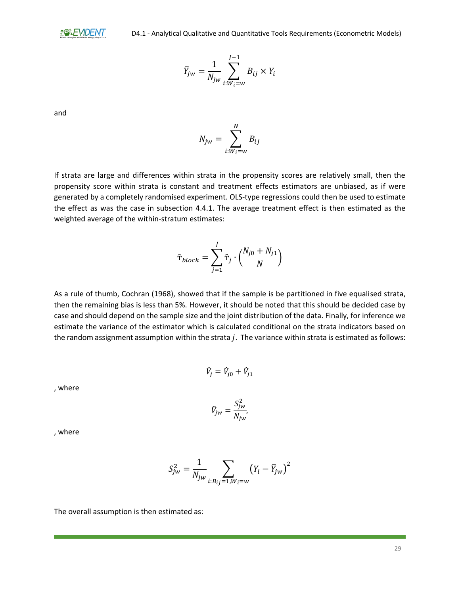$$
\bar{Y}_{jw} = \frac{1}{N_{jw}} \sum_{i:W_i=w}^{J-1} B_{ij} \times Y_i
$$

and

If strata are large and differences within strata in the propensity scores are relatively small, then the propensity score within strata is constant and treatment effects estimators are unbiased, as if were generated by a completely randomised experiment. OLS-type regressions could then be used to estimate the effect as was the case in subsection 4.4.1. The average treatment effect is then estimated as the weighted average of the within-stratum estimates:

 $N_{jw} = \sum B_{ij}$ N

 $i:W_i=w$ 

$$
\hat{\mathbf{T}}_{block} = \sum_{j=1}^{J} \hat{\mathbf{T}}_{j} \cdot \left(\frac{N_{j0} + N_{j1}}{N}\right)
$$

As a rule of thumb, Cochran (1968), showed that if the sample is be partitioned in five equalised strata, then the remaining bias is less than 5%. However, it should be noted that this should be decided case by case and should depend on the sample size and the joint distribution of the data. Finally, for inference we estimate the variance of the estimator which is calculated conditional on the strata indicators based on the random assignment assumption within the strata  $j$ . The variance within strata is estimated as follows:

$$
\hat{V}_j = \hat{V}_{j0} + \hat{V}_{j1}
$$

, where

$$
\hat{V}_{jw} = \frac{S_{jw}^2}{N_{jw}},
$$

, where

$$
S_{jw}^{2} = \frac{1}{N_{jw}} \sum_{i:B_{ij}=1,W_{i}=w} (Y_{i} - \bar{Y}_{jw})^{2}
$$

The overall assumption is then estimated as: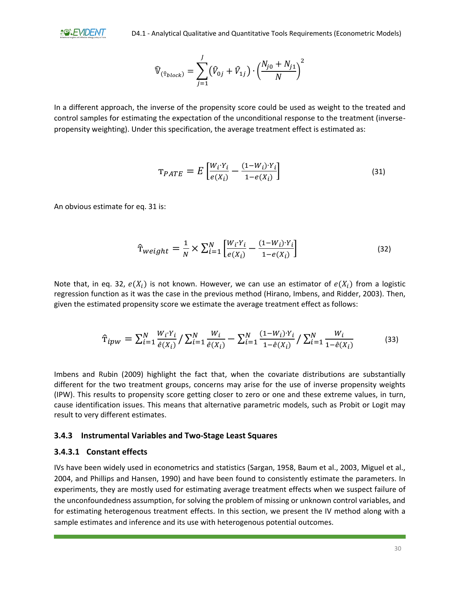$$
\widehat{\mathbb{V}}_{(\widehat{\tau}_{block})} = \sum_{j=1}^{J} (\widehat{V}_{0j} + \widehat{V}_{1j}) \cdot \left(\frac{N_{j0} + N_{j1}}{N}\right)^2
$$

In a different approach, the inverse of the propensity score could be used as weight to the treated and control samples for estimating the expectation of the unconditional response to the treatment (inversepropensity weighting). Under this specification, the average treatment effect is estimated as:

$$
\mathbf{T}_{PATE} = E \left[ \frac{W_i Y_i}{e(X_i)} - \frac{(1 - W_i) Y_i}{1 - e(X_i)} \right]
$$
(31)

An obvious estimate for eq. 31 is:

$$
\hat{\mathbf{T}}_{weight} = \frac{1}{N} \times \sum_{i=1}^{N} \left[ \frac{W_i \cdot Y_i}{e(X_i)} - \frac{(1 - W_i) \cdot Y_i}{1 - e(X_i)} \right] \tag{32}
$$

Note that, in eq. 32,  $e(X_i)$  is not known. However, we can use an estimator of  $e(X_i)$  from a logistic regression function as it was the case in the previous method (Hirano, Imbens, and Ridder, 2003). Then, given the estimated propensity score we estimate the average treatment effect as follows:

$$
\hat{\mathbf{T}}_{ipw} = \sum_{i=1}^{N} \frac{W_i Y_i}{\hat{e}(X_i)} / \sum_{i=1}^{N} \frac{W_i}{\hat{e}(X_i)} - \sum_{i=1}^{N} \frac{(1 - W_i) Y_i}{1 - \hat{e}(X_i)} / \sum_{i=1}^{N} \frac{W_i}{1 - \hat{e}(X_i)}
$$
(33)

Imbens and Rubin (2009) highlight the fact that, when the covariate distributions are substantially different for the two treatment groups, concerns may arise for the use of inverse propensity weights (IPW). This results to propensity score getting closer to zero or one and these extreme values, in turn, cause identification issues. This means that alternative parametric models, such as Probit or Logit may result to very different estimates.

#### <span id="page-30-0"></span>**3.4.3 Instrumental Variables and Two-Stage Least Squares**

#### **3.4.3.1 Constant effects**

IVs have been widely used in econometrics and statistics (Sargan, 1958, Baum et al., 2003, Miguel et al., 2004, and Phillips and Hansen, 1990) and have been found to consistently estimate the parameters. In experiments, they are mostly used for estimating average treatment effects when we suspect failure of the unconfoundedness assumption, for solving the problem of missing or unknown control variables, and for estimating heterogenous treatment effects. In this section, we present the IV method along with a sample estimates and inference and its use with heterogenous potential outcomes.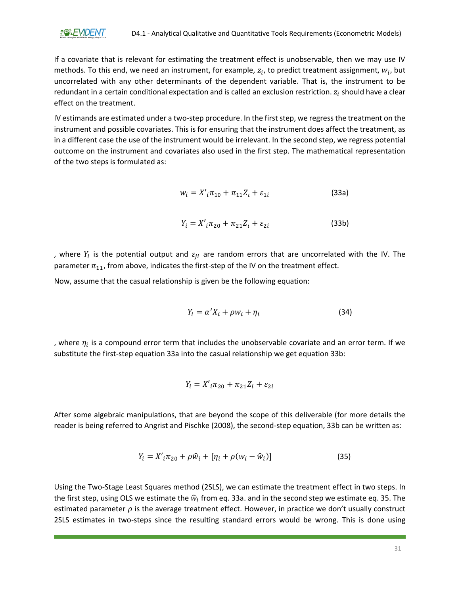If a covariate that is relevant for estimating the treatment effect is unobservable, then we may use IV methods. To this end, we need an instrument, for example,  $z_i$ , to predict treatment assignment,  $w_i$ , but uncorrelated with any other determinants of the dependent variable. That is, the instrument to be redundant in a certain conditional expectation and is called an exclusion restriction.  $z_i$  should have a clear effect on the treatment.

IV estimands are estimated under a two-step procedure. In the first step, we regress the treatment on the instrument and possible covariates. This is for ensuring that the instrument does affect the treatment, as in a different case the use of the instrument would be irrelevant. In the second step, we regress potential outcome on the instrument and covariates also used in the first step. The mathematical representation of the two steps is formulated as:

$$
w_i = X'_i \pi_{10} + \pi_{11} Z_i + \varepsilon_{1i} \tag{33a}
$$

$$
Y_i = X'_i \pi_{20} + \pi_{21} Z_i + \varepsilon_{2i} \tag{33b}
$$

, where  $Y_i$  is the potential output and  $\varepsilon_{ji}$  are random errors that are uncorrelated with the IV. The parameter  $\pi_{11}$ , from above, indicates the first-step of the IV on the treatment effect.

Now, assume that the casual relationship is given be the following equation:

$$
Y_i = \alpha' X_i + \rho w_i + \eta_i \tag{34}
$$

, where  $\eta_i$  is a compound error term that includes the unobservable covariate and an error term. If we substitute the first-step equation 33a into the casual relationship we get equation 33b:

$$
Y_i = X'_i \pi_{20} + \pi_{21} Z_i + \varepsilon_{2i}
$$

After some algebraic manipulations, that are beyond the scope of this deliverable (for more details the reader is being referred to Angrist and Pischke (2008), the second-step equation, 33b can be written as:

$$
Y_i = X'_i \pi_{20} + \rho \widehat{w}_i + [\eta_i + \rho(w_i - \widehat{w}_i)] \tag{35}
$$

Using the Two-Stage Least Squares method (2SLS), we can estimate the treatment effect in two steps. In the first step, using OLS we estimate the  $\widehat{w}_i$  from eq. 33a. and in the second step we estimate eq. 35. The estimated parameter  $\rho$  is the average treatment effect. However, in practice we don't usually construct 2SLS estimates in two-steps since the resulting standard errors would be wrong. This is done using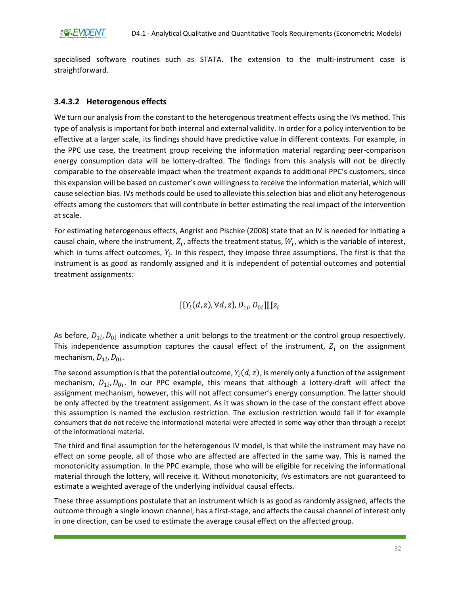specialised software routines such as STATA. The extension to the multi-instrument case is straightforward.

### **3.4.3.2 Heterogenous effects**

We turn our analysis from the constant to the heterogenous treatment effects using the IVs method. This type of analysis is important for both internal and external validity. In order for a policy intervention to be effective at a larger scale, its findings should have predictive value in different contexts. For example, in the PPC use case, the treatment group receiving the information material regarding peer-comparison energy consumption data will be lottery-drafted. The findings from this analysis will not be directly comparable to the observable impact when the treatment expands to additional PPC's customers, since this expansion will be based on customer's own willingness to receive the information material, which will cause selection bias. IVs methods could be used to alleviate this selection bias and elicit any heterogenous effects among the customers that will contribute in better estimating the real impact of the intervention at scale.

For estimating heterogenous effects, Angrist and Pischke (2008) state that an IV is needed for initiating a causal chain, where the instrument,  $Z_i$ , affects the treatment status,  $W_i$ , which is the variable of interest, which in turns affect outcomes,  $Y_i$ . In this respect, they impose three assumptions. The first is that the instrument is as good as randomly assigned and it is independent of potential outcomes and potential treatment assignments:

 $[\{Y_i(d,z), \forall d, z\}, D_{1i}, D_{0i}]\coprod z_i$ 

As before,  $D_{1i}$ ,  $D_{0i}$  indicate whether a unit belongs to the treatment or the control group respectively. This independence assumption captures the causal effect of the instrument,  $Z_i$  on the assignment mechanism,  $D_{1i}$ ,  $D_{0i}$ .

The second assumption is that the potential outcome,  $Y_{l}(d, z)$ , is merely only a function of the assignment mechanism,  $D_{1i}$ ,  $D_{0i}$ . In our PPC example, this means that although a lottery-draft will affect the assignment mechanism, however, this will not affect consumer's energy consumption. The latter should be only affected by the treatment assignment. As it was shown in the case of the constant effect above this assumption is named the exclusion restriction. The exclusion restriction would fail if for example consumers that do not receive the informational material were affected in some way other than through a receipt of the informational material.

The third and final assumption for the heterogenous IV model, is that while the instrument may have no effect on some people, all of those who are affected are affected in the same way. This is named the monotonicity assumption. In the PPC example, those who will be eligible for receiving the informational material through the lottery, will receive it. Without monotonicity, IVs estimators are not guaranteed to estimate a weighted average of the underlying individual causal effects.

These three assumptions postulate that an instrument which is as good as randomly assigned, affects the outcome through a single known channel, has a first-stage, and affects the causal channel of interest only in one direction, can be used to estimate the average causal effect on the affected group.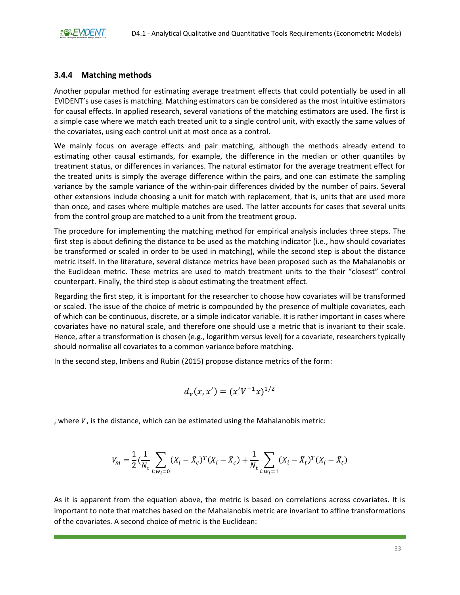#### <span id="page-33-0"></span>**3.4.4 Matching methods**

Another popular method for estimating average treatment effects that could potentially be used in all EVIDENT's use cases is matching. Matching estimators can be considered as the most intuitive estimators for causal effects. In applied research, several variations of the matching estimators are used. The first is a simple case where we match each treated unit to a single control unit, with exactly the same values of the covariates, using each control unit at most once as a control.

We mainly focus on average effects and pair matching, although the methods already extend to estimating other causal estimands, for example, the difference in the median or other quantiles by treatment status, or differences in variances. The natural estimator for the average treatment effect for the treated units is simply the average difference within the pairs, and one can estimate the sampling variance by the sample variance of the within-pair differences divided by the number of pairs. Several other extensions include choosing a unit for match with replacement, that is, units that are used more than once, and cases where multiple matches are used. The latter accounts for cases that several units from the control group are matched to a unit from the treatment group.

The procedure for implementing the matching method for empirical analysis includes three steps. The first step is about defining the distance to be used as the matching indicator (i.e., how should covariates be transformed or scaled in order to be used in matching), while the second step is about the distance metric itself. In the literature, several distance metrics have been proposed such as the Mahalanobis or the Euclidean metric. These metrics are used to match treatment units to the their "closest" control counterpart. Finally, the third step is about estimating the treatment effect.

Regarding the first step, it is important for the researcher to choose how covariates will be transformed or scaled. The issue of the choice of metric is compounded by the presence of multiple covariates, each of which can be continuous, discrete, or a simple indicator variable. It is rather important in cases where covariates have no natural scale, and therefore one should use a metric that is invariant to their scale. Hence, after a transformation is chosen (e.g., logarithm versus level) for a covariate, researchers typically should normalise all covariates to a common variance before matching.

In the second step, Imbens and Rubin (2015) propose distance metrics of the form:

$$
d_v(x,x')=(x'V^{-1}x)^{1/2}
$$

, where  $V$ , is the distance, which can be estimated using the Mahalanobis metric:

$$
V_m = \frac{1}{2} \left( \frac{1}{N_c} \sum_{i:w_i=0} (X_i - \bar{X}_c)^T (X_i - \bar{X}_c) + \frac{1}{N_t} \sum_{i:w_i=1} (X_i - \bar{X}_t)^T (X_i - \bar{X}_t) \right)
$$

As it is apparent from the equation above, the metric is based on correlations across covariates. It is important to note that matches based on the Mahalanobis metric are invariant to affine transformations of the covariates. A second choice of metric is the Euclidean: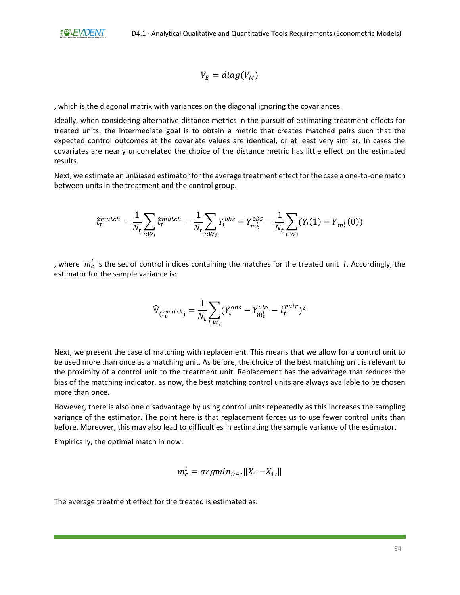$$
V_E = diag(V_M)
$$

, which is the diagonal matrix with variances on the diagonal ignoring the covariances.

Ideally, when considering alternative distance metrics in the pursuit of estimating treatment effects for treated units, the intermediate goal is to obtain a metric that creates matched pairs such that the expected control outcomes at the covariate values are identical, or at least very similar. In cases the covariates are nearly uncorrelated the choice of the distance metric has little effect on the estimated results.

Next, we estimate an unbiased estimator for the average treatment effect for the case a one-to-one match between units in the treatment and the control group.

$$
\hat{t}_t^{match} = \frac{1}{N_t} \sum_{i: W_i} \hat{t}_t^{match} = \frac{1}{N_t} \sum_{i: W_i} Y_i^{obs} - Y_{m_c^i}^{obs} = \frac{1}{N_t} \sum_{i: W_i} (Y_i(1) - Y_{m_c^i}(0))
$$

, where  $m_c^i$  is the set of control indices containing the matches for the treated unit  $i$ . Accordingly, the estimator for the sample variance is:

$$
\widehat{\mathbb{V}}_{(\hat{t}_t^{match})} = \frac{1}{N_t} \sum_{i:W_i} (Y_i^{obs} - Y_{m_c^b}^{obs} - \hat{t}_t^{pair})^2
$$

Next, we present the case of matching with replacement. This means that we allow for a control unit to be used more than once as a matching unit. As before, the choice of the best matching unit is relevant to the proximity of a control unit to the treatment unit. Replacement has the advantage that reduces the bias of the matching indicator, as now, the best matching control units are always available to be chosen more than once.

However, there is also one disadvantage by using control units repeatedly as this increases the sampling variance of the estimator. The point here is that replacement forces us to use fewer control units than before. Moreover, this may also lead to difficulties in estimating the sample variance of the estimator.

Empirically, the optimal match in now:

$$
m_c^i = argmin_{i \in c} ||X_1 - X_1||
$$

The average treatment effect for the treated is estimated as: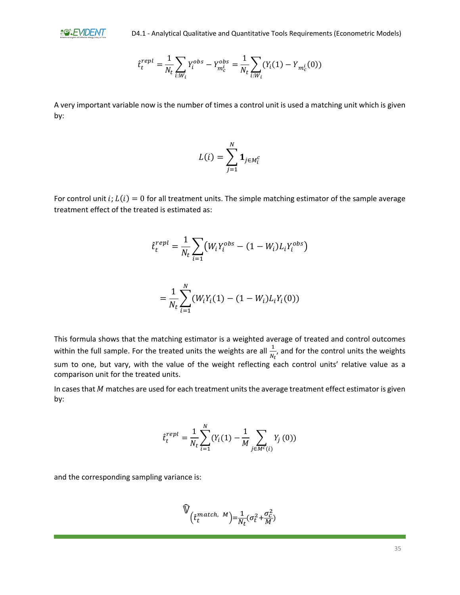**a@&EMDENT** 

$$
\hat{t}_t^{repl} = \frac{1}{N_t} \sum_{i:W_i} Y_i^{obs} - Y_{m_c^i}^{obs} = \frac{1}{N_t} \sum_{i:W_i} (Y_i(1) - Y_{m_c^i}(0))
$$

A very important variable now is the number of times a control unit is used a matching unit which is given by:

$$
L(i) = \sum_{j=1}^{N} \mathbf{1}_{j \in M_i^c}
$$

For control unit i;  $L(i) = 0$  for all treatment units. The simple matching estimator of the sample average treatment effect of the treated is estimated as:

$$
\hat{t}_t^{repl} = \frac{1}{N_t} \sum_{i=1}^N \left( W_i Y_i^{obs} - (1 - W_i) L_i Y_i^{obs} \right)
$$

$$
=\frac{1}{N_t}\sum_{i=1}^N(W_iY_i(1)-(1-W_i)L_iY_i(0))
$$

This formula shows that the matching estimator is a weighted average of treated and control outcomes within the full sample. For the treated units the weights are all  $\frac{1}{N_t}$ , and for the control units the weights sum to one, but vary, with the value of the weight reflecting each control units' relative value as a comparison unit for the treated units.

In cases that  $M$  matches are used for each treatment units the average treatment effect estimator is given by:

$$
\hat{t}_{t}^{repl} = \frac{1}{N_{t}} \sum_{i=1}^{N} (Y_{i}(1) - \frac{1}{M} \sum_{j \in M^{c}(i)} Y_{j}(0))
$$

and the corresponding sampling variance is:

$$
\widehat{\mathbb{V}}_{\left(\hat{t}_t^{match, M}\right) = \frac{1}{N_t} (\sigma_t^2 + \frac{\sigma_c^2}{M})}
$$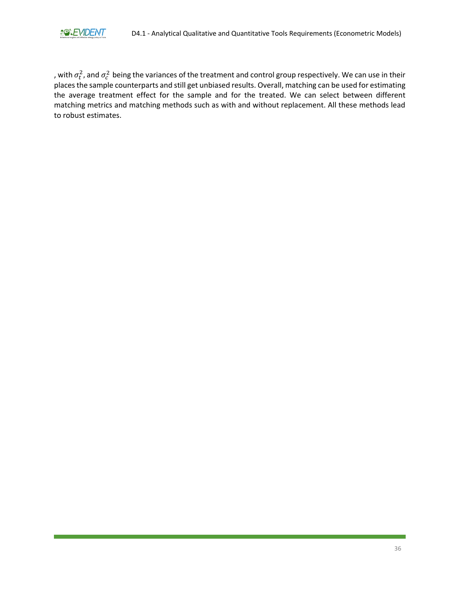, with  $\sigma_t^2$ , and  $\sigma_c^2$  being the variances of the treatment and control group respectively. We can use in their places the sample counterparts and still get unbiased results. Overall, matching can be used for estimating the average treatment effect for the sample and for the treated. We can select between different matching metrics and matching methods such as with and without replacement. All these methods lead to robust estimates.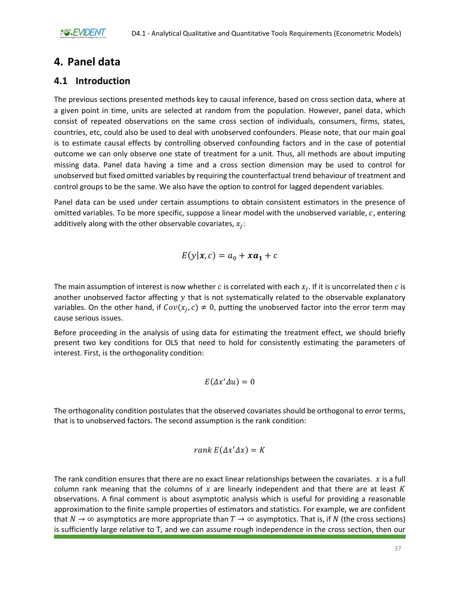# <span id="page-37-0"></span>**4. Panel data**

## <span id="page-37-1"></span>**4.1 Introduction**

The previous sections presented methods key to causal inference, based on cross section data, where at a given point in time, units are selected at random from the population. However, panel data, which consist of repeated observations on the same cross section of individuals, consumers, firms, states, countries, etc, could also be used to deal with unobserved confounders. Please note, that our main goal is to estimate causal effects by controlling observed confounding factors and in the case of potential outcome we can only observe one state of treatment for a unit. Thus, all methods are about imputing missing data. Panel data having a time and a cross section dimension may be used to control for unobserved but fixed omitted variables by requiring the counterfactual trend behaviour of treatment and control groups to be the same. We also have the option to control for lagged dependent variables.

Panel data can be used under certain assumptions to obtain consistent estimators in the presence of omitted variables. To be more specific, suppose a linear model with the unobserved variable,  $c$ , entering additively along with the other observable covariates,  $x_j$ :

$$
E(y|\mathbf{x}, c) = a_0 + x a_1 + c
$$

The main assumption of interest is now whether  $c$  is correlated with each  $x_j$ . If it is uncorrelated then  $c$  is another unobserved factor affecting  $y$  that is not systematically related to the observable explanatory variables. On the other hand, if  $Cov(x_j, c) \neq 0$ , putting the unobserved factor into the error term may cause serious issues.

Before proceeding in the analysis of using data for estimating the treatment effect, we should briefly present two key conditions for OLS that need to hold for consistently estimating the parameters of interest. First, is the orthogonality condition:

$$
E(\varDelta x'\varDelta u)=0
$$

The orthogonality condition postulates that the observed covariates should be orthogonal to error terms, that is to unobserved factors. The second assumption is the rank condition:

$$
rank\ E(\Delta x'\Delta x)=K
$$

The rank condition ensures that there are no exact linear relationships between the covariates.  $x$  is a full column rank meaning that the columns of x are linearly independent and that there are at least K observations. A final comment is about asymptotic analysis which is useful for providing a reasonable approximation to the finite sample properties of estimators and statistics. For example, we are confident that  $N \to \infty$  asymptotics are more appropriate than  $T \to \infty$  asymptotics. That is, if N (the cross sections) is sufficiently large relative to T, and we can assume rough independence in the cross section, then our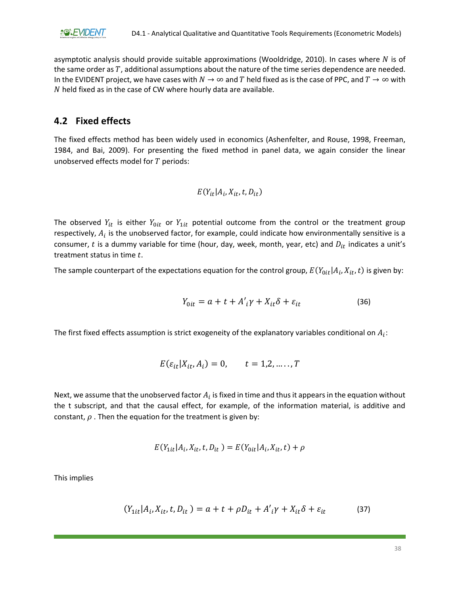asymptotic analysis should provide suitable approximations (Wooldridge, 2010). In cases where  $N$  is of the same order as  $T$ , additional assumptions about the nature of the time series dependence are needed. In the EVIDENT project, we have cases with  $N \to \infty$  and T held fixed as is the case of PPC, and  $T \to \infty$  with  $N$  held fixed as in the case of CW where hourly data are available.

### <span id="page-38-0"></span>**4.2 Fixed effects**

The fixed effects method has been widely used in economics (Ashenfelter, and Rouse, 1998, Freeman, 1984, and Bai, 2009). For presenting the fixed method in panel data, we again consider the linear unobserved effects model for  $T$  periods:

$$
E(Y_{it} | A_i, X_{it}, t, D_{it})
$$

The observed  $Y_{it}$  is either  $Y_{0it}$  or  $Y_{1it}$  potential outcome from the control or the treatment group respectively,  $A_i$  is the unobserved factor, for example, could indicate how environmentally sensitive is a consumer, t is a dummy variable for time (hour, day, week, month, year, etc) and  $D_{it}$  indicates a unit's treatment status in time  $t$ .

The sample counterpart of the expectations equation for the control group,  $E(Y_{0it}|A_i,X_{it},t)$  is given by:

$$
Y_{0it} = a + t + A'i\gamma + X_{it}\delta + \varepsilon_{it}
$$
\n(36)

The first fixed effects assumption is strict exogeneity of the explanatory variables conditional on  $A_i$ :

$$
E(\varepsilon_{it}|X_{it}, A_i) = 0, \qquad t = 1, 2, \dots, T
$$

Next, we assume that the unobserved factor  $A_i$  is fixed in time and thus it appears in the equation without the t subscript, and that the causal effect, for example, of the information material, is additive and constant,  $\rho$ . Then the equation for the treatment is given by:

$$
E(Y_{1it}|A_i, X_{it}, t, D_{it}) = E(Y_{0it}|A_i, X_{it}, t) + \rho
$$

This implies

$$
(Y_{1it}|A_i, X_{it}, t, D_{it}) = a + t + \rho D_{it} + A'_{i}\gamma + X_{it}\delta + \varepsilon_{it}
$$
\n
$$
(37)
$$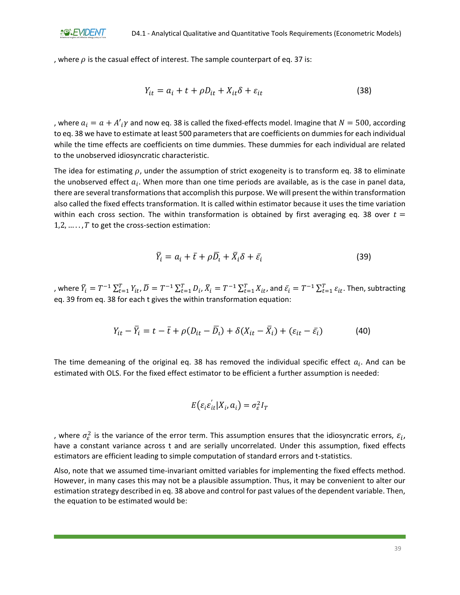, where  $\rho$  is the casual effect of interest. The sample counterpart of eq. 37 is:

$$
Y_{it} = a_i + t + \rho D_{it} + X_{it}\delta + \varepsilon_{it}
$$
\n(38)

, where  $a_i = a + A'_{i} \gamma$  and now eq. 38 is called the fixed-effects model. Imagine that  $N = 500$ , according to eq. 38 we have to estimate at least 500 parameters that are coefficients on dummies for each individual while the time effects are coefficients on time dummies. These dummies for each individual are related to the unobserved idiosyncratic characteristic.

The idea for estimating  $\rho$ , under the assumption of strict exogeneity is to transform eq. 38 to eliminate the unobserved effect  $a_i$ . When more than one time periods are available, as is the case in panel data, there are several transformations that accomplish this purpose. We will present the within transformation also called the fixed effects transformation. It is called within estimator because it uses the time variation within each cross section. The within transformation is obtained by first averaging eq. 38 over  $t =$ 1,2,  $\dots$ , T to get the cross-section estimation:

$$
\overline{Y}_i = a_i + \overline{t} + \rho \overline{D}_i + \overline{X}_i \delta + \overline{\varepsilon}_i \tag{39}
$$

, where  $\bar{Y}_i = T^{-1}\sum_{t=1}^T Y_{it}$ ,  $\bar{D} = T^{-1}\sum_{t=1}^T D_i$ ,  $\bar{X}_i = T^{-1}\sum_{t=1}^T X_{it}$ , and  $\bar{\varepsilon}_i = T^{-1}\sum_{t=1}^T \varepsilon_{it}$ . Then, subtracting eq. 39 from eq. 38 for each t gives the within transformation equation:

$$
Y_{it} - \overline{Y}_i = t - \overline{t} + \rho (D_{it} - \overline{D}_i) + \delta (X_{it} - \overline{X}_i) + (\varepsilon_{it} - \overline{\varepsilon}_i)
$$
(40)

The time demeaning of the original eq. 38 has removed the individual specific effect  $a_i$ . And can be estimated with OLS. For the fixed effect estimator to be efficient a further assumption is needed:

$$
E(\varepsilon_i \varepsilon_{it}^{\prime} | X_i, a_i) = \sigma_{\varepsilon}^2 I_T
$$

, where  $\sigma_{\varepsilon}^2$  is the variance of the error term. This assumption ensures that the idiosyncratic errors,  $\varepsilon_i$ , have a constant variance across t and are serially uncorrelated. Under this assumption, fixed effects estimators are efficient leading to simple computation of standard errors and t-statistics.

Also, note that we assumed time-invariant omitted variables for implementing the fixed effects method. However, in many cases this may not be a plausible assumption. Thus, it may be convenient to alter our estimation strategy described in eq. 38 above and control for past values of the dependent variable. Then, the equation to be estimated would be: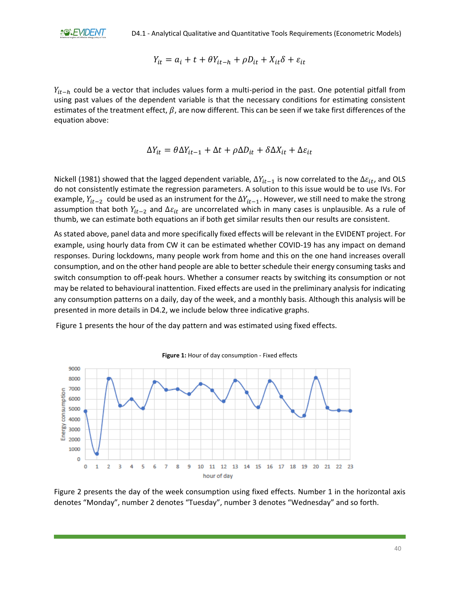$$
Y_{it} = a_i + t + \theta Y_{it-h} + \rho D_{it} + X_{it}\delta + \varepsilon_{it}
$$

 $Y_{it-h}$  could be a vector that includes values form a multi-period in the past. One potential pitfall from using past values of the dependent variable is that the necessary conditions for estimating consistent estimates of the treatment effect,  $\beta$ , are now different. This can be seen if we take first differences of the equation above:

$$
\Delta Y_{it} = \theta \Delta Y_{it-1} + \Delta t + \rho \Delta D_{it} + \delta \Delta X_{it} + \Delta \varepsilon_{it}
$$

Nickell (1981) showed that the lagged dependent variable,  $\Delta Y_{it-1}$  is now correlated to the  $\Delta \varepsilon_{it}$ , and OLS do not consistently estimate the regression parameters. A solution to this issue would be to use IVs. For example,  $Y_{it-2}$  could be used as an instrument for the  $\Delta Y_{it-1}$ . However, we still need to make the strong assumption that both  $Y_{it-2}$  and  $\Delta \varepsilon_{it}$  are uncorrelated which in many cases is unplausible. As a rule of thumb, we can estimate both equations an if both get similar results then our results are consistent.

As stated above, panel data and more specifically fixed effects will be relevant in the EVIDENT project. For example, using hourly data from CW it can be estimated whether COVID-19 has any impact on demand responses. During lockdowns, many people work from home and this on the one hand increases overall consumption, and on the other hand people are able to better schedule their energy consuming tasks and switch consumption to off-peak hours. Whether a consumer reacts by switching its consumption or not may be related to behavioural inattention. Fixed effects are used in the preliminary analysis for indicating any consumption patterns on a daily, day of the week, and a monthly basis. Although this analysis will be presented in more details in D4.2, we include below three indicative graphs.

Figure 1 presents the hour of the day pattern and was estimated using fixed effects.

<span id="page-40-0"></span>

**Figure 1:** Hour of day consumption - Fixed effects

Figure 2 presents the day of the week consumption using fixed effects. Number 1 in the horizontal axis denotes "Monday", number 2 denotes "Tuesday", number 3 denotes "Wednesday" and so forth.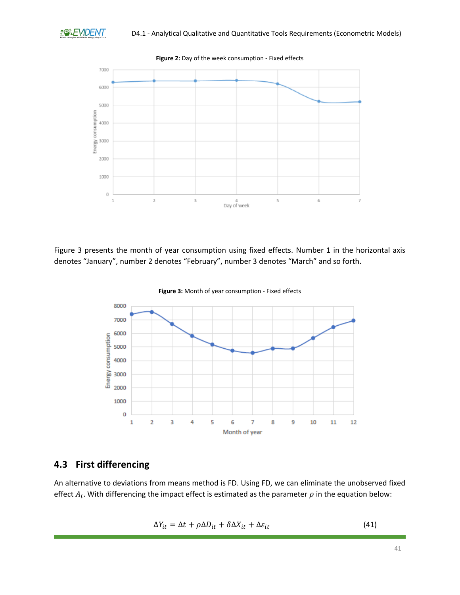<span id="page-41-1"></span>

<span id="page-41-2"></span>Figure 3 presents the month of year consumption using fixed effects. Number 1 in the horizontal axis denotes "January", number 2 denotes "February", number 3 denotes "March" and so forth.



**Figure 3:** Month of year consumption - Fixed effects

## <span id="page-41-0"></span>**4.3 First differencing**

An alternative to deviations from means method is FD. Using FD, we can eliminate the unobserved fixed effect  $A_i$ . With differencing the impact effect is estimated as the parameter  $\rho$  in the equation below:

$$
\Delta Y_{it} = \Delta t + \rho \Delta D_{it} + \delta \Delta X_{it} + \Delta \varepsilon_{it}
$$
\n(41)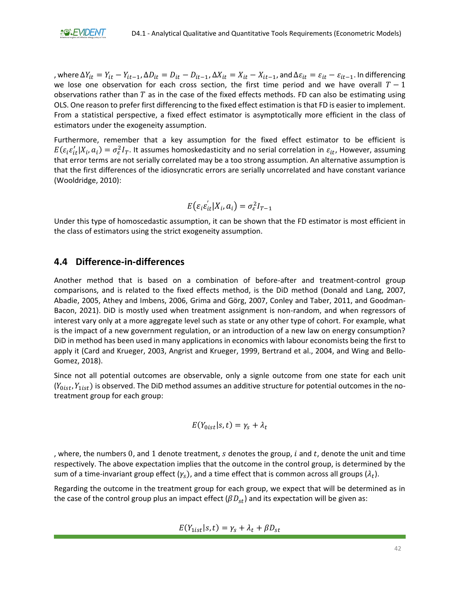

, where  $\Delta Y_{it} = Y_{it} - Y_{it-1}$ ,  $\Delta D_{it} = D_{it} - D_{it-1}$ ,  $\Delta X_{it} = X_{it} - X_{it-1}$ , and  $\Delta \varepsilon_{it} = \varepsilon_{it} - \varepsilon_{it-1}$ . In differencing we lose one observation for each cross section, the first time period and we have overall  $T-1$ observations rather than  $T$  as in the case of the fixed effects methods. FD can also be estimating using OLS. One reason to prefer first differencing to the fixed effect estimation is that FD is easier to implement. From a statistical perspective, a fixed effect estimator is asymptotically more efficient in the class of estimators under the exogeneity assumption.

Furthermore, remember that a key assumption for the fixed effect estimator to be efficient is  $E(\varepsilon_i \varepsilon'_{it}|X_i,a_i)=\sigma_\varepsilon^2 I_T$ . It assumes homoskedasticity and no serial correlation in  $\varepsilon_{it}$ , However, assuming that error terms are not serially correlated may be a too strong assumption. An alternative assumption is that the first differences of the idiosyncratic errors are serially uncorrelated and have constant variance (Wooldridge, 2010):

$$
E(\varepsilon_i \varepsilon_{it}^{\prime} | X_i, a_i) = \sigma_{\varepsilon}^2 I_{T-1}
$$

Under this type of homoscedastic assumption, it can be shown that the FD estimator is most efficient in the class of estimators using the strict exogeneity assumption.

### <span id="page-42-0"></span>**4.4 Difference-in-differences**

Another method that is based on a combination of before-after and treatment-control group comparisons, and is related to the fixed effects method, is the DiD method (Donald and Lang, 2007, Abadie, 2005, Athey and Imbens, 2006, Grima and Görg, 2007, Conley and Taber, 2011, and Goodman-Bacon, 2021). DiD is mostly used when treatment assignment is non-random, and when regressors of interest vary only at a more aggregate level such as state or any other type of cohort. For example, what is the impact of a new government regulation, or an introduction of a new law on energy consumption? DiD in method has been used in many applications in economics with labour economists being the first to apply it (Card and Krueger, 2003, Angrist and Krueger, 1999, Bertrand et al., 2004, and Wing and Bello-Gomez, 2018).

Since not all potential outcomes are observable, only a signle outcome from one state for each unit  $(Y_{0ist}, Y_{1ist})$  is observed. The DiD method assumes an additive structure for potential outcomes in the notreatment group for each group:

$$
E(Y_{0ist}|s,t)=\gamma_s+\lambda_t
$$

, where, the numbers 0, and 1 denote treatment,  $s$  denotes the group,  $i$  and  $t$ , denote the unit and time respectively. The above expectation implies that the outcome in the control group, is determined by the sum of a time-invariant group effect ( $\gamma_s$ ), and a time effect that is common across all groups ( $\lambda_t$ ).

Regarding the outcome in the treatment group for each group, we expect that will be determined as in the case of the control group plus an impact effect ( $(\beta D_{st})$  and its expectation will be given as:

$$
E(Y_{1ist}|s,t) = \gamma_s + \lambda_t + \beta D_{st}
$$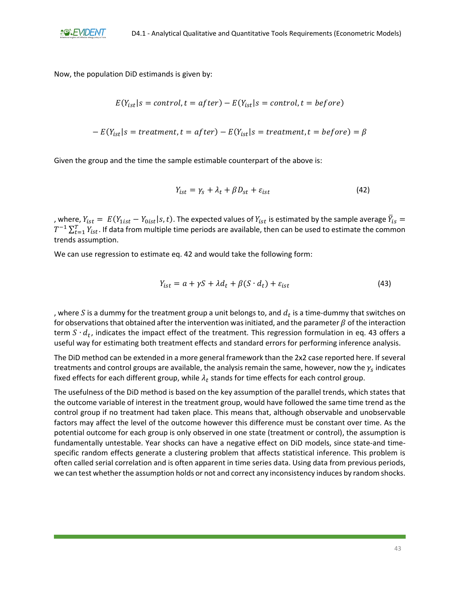

Now, the population DiD estimands is given by:

$$
E(Y_{ist}|s = control, t = after) - E(Y_{ist}|s = control, t = before)
$$

$$
- E(Y_{ist}|s = treatment, t = after) - E(Y_{ist}|s = treatment, t = before) = \beta
$$

Given the group and the time the sample estimable counterpart of the above is:

$$
Y_{ist} = \gamma_s + \lambda_t + \beta D_{st} + \varepsilon_{ist} \tag{42}
$$

, where,  $Y_{ist} = E(Y_{1ist} - Y_{0ist}|s,t)$ . The expected values of  $Y_{ist}$  is estimated by the sample average  $\bar{Y}_{is} =$  $T^{-1}\sum_{t=1}^T Y_{ist}$ . If data from multiple time periods are available, then can be used to estimate the common trends assumption.

We can use regression to estimate eq. 42 and would take the following form:

$$
Y_{ist} = a + \gamma S + \lambda d_t + \beta (S \cdot d_t) + \varepsilon_{ist} \tag{43}
$$

, where  $S$  is a dummy for the treatment group a unit belongs to, and  $d_t$  is a time-dummy that switches on for observations that obtained after the intervention was initiated, and the parameter  $\beta$  of the interaction term  $S \cdot d_t$ , indicates the impact effect of the treatment. This regression formulation in eq. 43 offers a useful way for estimating both treatment effects and standard errors for performing inference analysis.

The DiD method can be extended in a more general framework than the 2x2 case reported here. If several treatments and control groups are available, the analysis remain the same, however, now the  $\gamma_{_S}$  indicates fixed effects for each different group, while  $\lambda_t$  stands for time effects for each control group.

The usefulness of the DiD method is based on the key assumption of the parallel trends, which states that the outcome variable of interest in the treatment group, would have followed the same time trend as the control group if no treatment had taken place. This means that, although observable and unobservable factors may affect the level of the outcome however this difference must be constant over time. As the potential outcome for each group is only observed in one state (treatment or control), the assumption is fundamentally untestable. Year shocks can have a negative effect on DiD models, since state-and timespecific random effects generate a clustering problem that affects statistical inference. This problem is often called serial correlation and is often apparent in time series data. Using data from previous periods, we can test whether the assumption holds or not and correct any inconsistency induces by random shocks.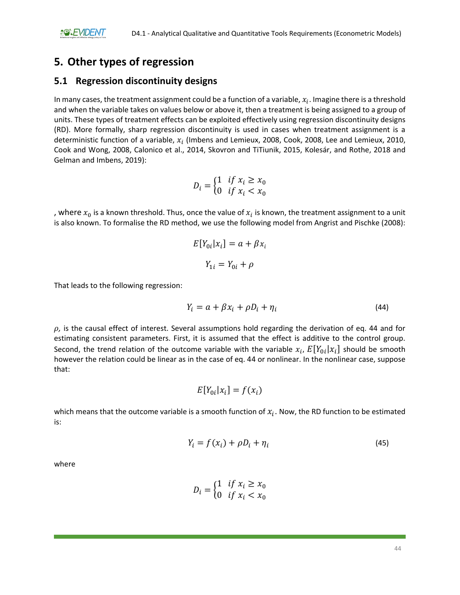# <span id="page-44-0"></span>**5. Other types of regression**

### <span id="page-44-1"></span>**5.1 Regression discontinuity designs**

In many cases, the treatment assignment could be a function of a variable,  $x_i$ . Imagine there is a threshold and when the variable takes on values below or above it, then a treatment is being assigned to a group of units. These types of treatment effects can be exploited effectively using regression discontinuity designs (RD). More formally, sharp regression discontinuity is used in cases when treatment assignment is a deterministic function of a variable,  $x_i$  (Imbens and Lemieux, 2008, Cook, 2008, Lee and Lemieux, 2010, Cook and Wong, 2008, Calonico et al., 2014, Skovron and TiTiunik, 2015, Kolesár, and Rothe, 2018 and Gelman and Imbens, 2019):

$$
D_i = \begin{cases} 1 & \text{if } x_i \ge x_0 \\ 0 & \text{if } x_i < x_0 \end{cases}
$$

, where  $x_0$  is a known threshold. Thus, once the value of  $x_i$  is known, the treatment assignment to a unit is also known. To formalise the RD method, we use the following model from Angrist and Pischke (2008):

$$
E[Y_{0i}|x_i] = a + \beta x_i
$$

$$
Y_{1i} = Y_{0i} + \rho
$$

That leads to the following regression:

$$
Y_i = a + \beta x_i + \rho D_i + \eta_i \tag{44}
$$

 $\rho$ , is the causal effect of interest. Several assumptions hold regarding the derivation of eq. 44 and for estimating consistent parameters. First, it is assumed that the effect is additive to the control group. Second, the trend relation of the outcome variable with the variable  $x_i$ ,  $E[Y_{0i}|x_i]$  should be smooth however the relation could be linear as in the case of eq. 44 or nonlinear. In the nonlinear case, suppose that:

$$
E[Y_{0i}|x_i] = f(x_i)
$$

which means that the outcome variable is a smooth function of  $x_i$ . Now, the RD function to be estimated is:

$$
Y_i = f(x_i) + \rho D_i + \eta_i \tag{45}
$$

where

$$
D_i = \begin{cases} 1 & \text{if } x_i \ge x_0 \\ 0 & \text{if } x_i < x_0 \end{cases}
$$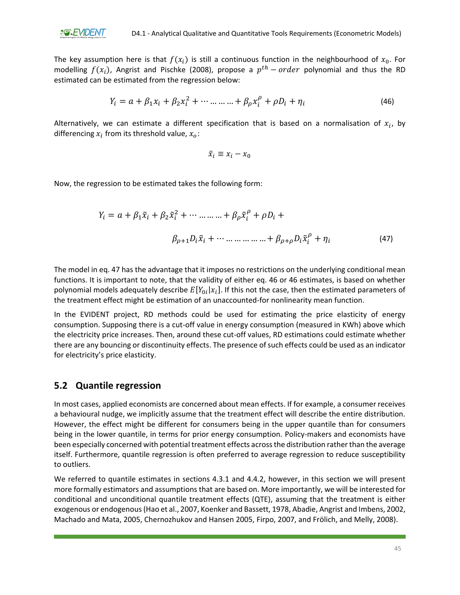

The key assumption here is that  $f(x_i)$  is still a continuous function in the neighbourhood of  $x_0$ . For modelling  $f(x_i)$ , Angrist and Pischke (2008), propose a  $p^{th}$  –  $order$  polynomial and thus the RD estimated can be estimated from the regression below:

$$
Y_i = a + \beta_1 x_i + \beta_2 x_i^2 + \dots + \beta_\rho x_i^\rho + \rho D_i + \eta_i
$$
\n(46)

Alternatively, we can estimate a different specification that is based on a normalisation of  $x_i$ , by differencing  $x_i$  from its threshold value,  $x_o$ :

$$
\tilde{x}_i \equiv x_i - x_0
$$

Now, the regression to be estimated takes the following form:

$$
Y_{i} = a + \beta_{1}\tilde{x}_{i} + \beta_{2}\tilde{x}_{i}^{2} + \cdots + \beta_{\rho}\tilde{x}_{i}^{\rho} + \rho D_{i} +
$$
\n
$$
\beta_{\rho+1}D_{i}\tilde{x}_{i} + \cdots + \beta_{\rho+\rho}D_{i}\tilde{x}_{i}^{\rho} + \eta_{i}
$$
\n(47)

The model in eq. 47 has the advantage that it imposes no restrictions on the underlying conditional mean functions. It is important to note, that the validity of either eq. 46 or 46 estimates, is based on whether polynomial models adequately describe  $E[Y_{0i}|x_i]$ . If this not the case, then the estimated parameters of the treatment effect might be estimation of an unaccounted-for nonlinearity mean function.

In the EVIDENT project, RD methods could be used for estimating the price elasticity of energy consumption. Supposing there is a cut-off value in energy consumption (measured in KWh) above which the electricity price increases. Then, around these cut-off values, RD estimations could estimate whether there are any bouncing or discontinuity effects. The presence of such effects could be used as an indicator for electricity's price elasticity.

### <span id="page-45-0"></span>**5.2 Quantile regression**

In most cases, applied economists are concerned about mean effects. If for example, a consumer receives a behavioural nudge, we implicitly assume that the treatment effect will describe the entire distribution. However, the effect might be different for consumers being in the upper quantile than for consumers being in the lower quantile, in terms for prior energy consumption. Policy-makers and economists have been especially concerned with potential treatment effects across the distribution rather than the average itself. Furthermore, quantile regression is often preferred to average regression to reduce susceptibility to outliers.

We referred to quantile estimates in sections 4.3.1 and 4.4.2, however, in this section we will present more formally estimators and assumptions that are based on. More importantly, we will be interested for conditional and unconditional quantile treatment effects (QTE), assuming that the treatment is either exogenous or endogenous (Hao et al., 2007, Koenker and Bassett, 1978, Abadie, Angrist and Imbens, 2002, Machado and Mata, 2005, Chernozhukov and Hansen 2005, Firpo, 2007, and Frölich, and Melly, 2008).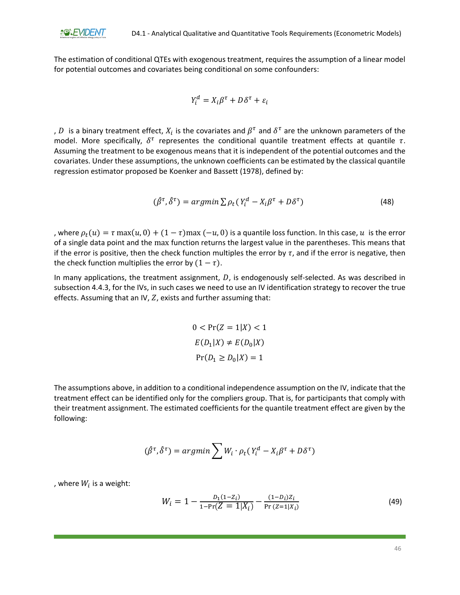The estimation of conditional QTEs with exogenous treatment, requires the assumption of a linear model for potential outcomes and covariates being conditional on some confounders:

$$
Y_i^d = X_i \beta^{\tau} + D\delta^{\tau} + \varepsilon_i
$$

,  $D$  is a binary treatment effect,  $X_i$  is the covariates and  $\beta^\tau$  and  $\delta^\tau$  are the unknown parameters of the model. More specifically,  $\delta^{\tau}$  representes the conditional quantile treatment effects at quantile  $\tau$ . Assuming the treatment to be exogenous means that it is independent of the potential outcomes and the covariates. Under these assumptions, the unknown coefficients can be estimated by the classical quantile regression estimator proposed be Koenker and Bassett (1978), defined by:

$$
(\hat{\beta}^{\tau}, \hat{\delta}^{\tau}) = \operatorname{argmin} \sum \rho_t (Y_i^d - X_i \beta^{\tau} + D \delta^{\tau}) \tag{48}
$$

, where  $\rho_t(u) = \tau \max(u, 0) + (1 - \tau) \max(-u, 0)$  is a quantile loss function. In this case,  $u$  is the error of a single data point and the max function returns the largest value in the parentheses. This means that if the error is positive, then the check function multiples the error by  $\tau$ , and if the error is negative, then the check function multiplies the error by  $(1 - \tau)$ .

In many applications, the treatment assignment,  $D$ , is endogenously self-selected. As was described in subsection 4.4.3, for the IVs, in such cases we need to use an IV identification strategy to recover the true effects. Assuming that an IV,  $Z$ , exists and further assuming that:

> $0 < \Pr(Z = 1 | X) < 1$  $E(D_1|X) \neq E(D_0|X)$  $Pr(D_1 \ge D_0 | X) = 1$

The assumptions above, in addition to a conditional independence assumption on the IV, indicate that the treatment effect can be identified only for the compliers group. That is, for participants that comply with their treatment assignment. The estimated coefficients for the quantile treatment effect are given by the following:

$$
(\hat{\beta}^{\tau},\hat{\delta}^{\tau})=argmin \sum W_i \cdot \rho_t (Y_i^d-X_i \beta^{\tau} + D \delta^{\tau})
$$

, where  $W_i$  is a weight:

$$
W_i = 1 - \frac{D_1(1 - Z_i)}{1 - \Pr(Z = 1 | X_i)} - \frac{(1 - D_i)Z_i}{\Pr(Z = 1 | X_i)}
$$
(49)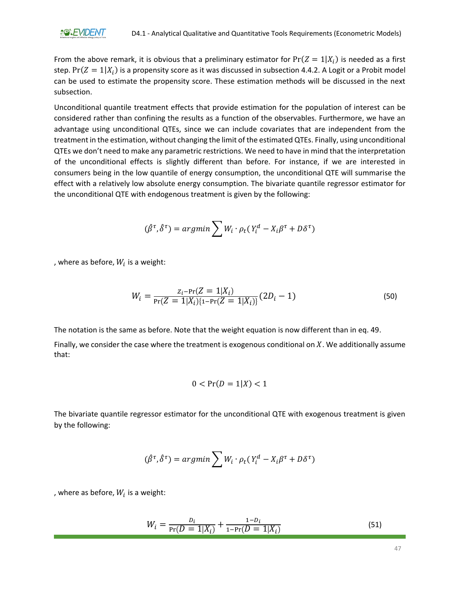From the above remark, it is obvious that a preliminary estimator for  $Pr(Z = 1 | X_i)$  is needed as a first step.  $Pr(Z = 1 | X_i)$  is a propensity score as it was discussed in subsection 4.4.2. A Logit or a Probit model can be used to estimate the propensity score. These estimation methods will be discussed in the next subsection.

Unconditional quantile treatment effects that provide estimation for the population of interest can be considered rather than confining the results as a function of the observables. Furthermore, we have an advantage using unconditional QTEs, since we can include covariates that are independent from the treatment in the estimation, without changing the limit of the estimated QTEs. Finally, using unconditional QTEs we don't need to make any parametric restrictions. We need to have in mind that the interpretation of the unconditional effects is slightly different than before. For instance, if we are interested in consumers being in the low quantile of energy consumption, the unconditional QTE will summarise the effect with a relatively low absolute energy consumption. The bivariate quantile regressor estimator for the unconditional QTE with endogenous treatment is given by the following:

$$
(\hat{\beta}^{\tau}, \hat{\delta}^{\tau}) = argmin \sum W_i \cdot \rho_t (Y_i^d - X_i \beta^{\tau} + D \delta^{\tau})
$$

, where as before,  $W_i$  is a weight:

$$
W_i = \frac{Z_i - \Pr(Z = 1 | X_i)}{\Pr(Z = 1 | X_i)(1 - \Pr(Z = 1 | X_i))} (2D_i - 1)
$$
\n(50)

The notation is the same as before. Note that the weight equation is now different than in eq. 49.

Finally, we consider the case where the treatment is exogenous conditional on  $X$ . We additionally assume that:

$$
0 < \Pr(D = 1 | X) < 1
$$

The bivariate quantile regressor estimator for the unconditional QTE with exogenous treatment is given by the following:

$$
(\hat{\beta}^{\tau}, \hat{\delta}^{\tau}) = argmin \sum W_i \cdot \rho_t (Y_i^d - X_i \beta^{\tau} + D \delta^{\tau})
$$

, where as before,  $W_i$  is a weight:

$$
W_i = \frac{D_i}{\Pr(D = 1 | X_i)} + \frac{1 - D_i}{1 - \Pr(D = 1 | X_i)}
$$
(51)

47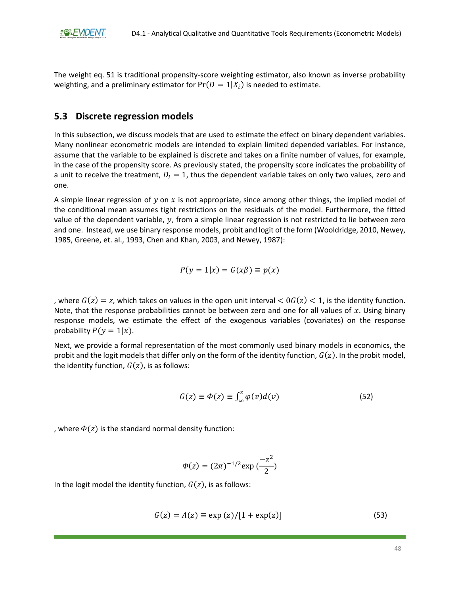The weight eq. 51 is traditional propensity-score weighting estimator, also known as inverse probability weighting, and a preliminary estimator for  $Pr(D=1|X_i)$  is needed to estimate.

### <span id="page-48-0"></span>**5.3 Discrete regression models**

In this subsection, we discuss models that are used to estimate the effect on binary dependent variables. Many nonlinear econometric models are intended to explain limited depended variables. For instance, assume that the variable to be explained is discrete and takes on a finite number of values, for example, in the case of the propensity score. As previously stated, the propensity score indicates the probability of a unit to receive the treatment,  $D_i = 1$ , thus the dependent variable takes on only two values, zero and one.

A simple linear regression of y on x is not appropriate, since among other things, the implied model of the conditional mean assumes tight restrictions on the residuals of the model. Furthermore, the fitted value of the dependent variable,  $y$ , from a simple linear regression is not restricted to lie between zero and one. Instead, we use binary response models, probit and logit of the form (Wooldridge, 2010, Newey, 1985, Greene, et. al., 1993, Chen and Khan, 2003, and Newey, 1987):

$$
P(y=1|x) = G(x\beta) \equiv p(x)
$$

, where  $G(z) = z$ , which takes on values in the open unit interval  $\lt G(G(z) \lt 1$ , is the identity function. Note, that the response probabilities cannot be between zero and one for all values of  $x$ . Using binary response models, we estimate the effect of the exogenous variables (covariates) on the response probability  $P(y = 1|x)$ .

Next, we provide a formal representation of the most commonly used binary models in economics, the probit and the logit models that differ only on the form of the identity function,  $G(z)$ . In the probit model, the identity function,  $G(z)$ , is as follows:

$$
G(z) \equiv \Phi(z) \equiv \int_{\infty}^{z} \varphi(v) d(v) \tag{52}
$$

, where  $\Phi(z)$  is the standard normal density function:

$$
\Phi(z) = (2\pi)^{-1/2} \exp\left(\frac{-z^2}{2}\right)
$$

In the logit model the identity function,  $G(z)$ , is as follows:

$$
G(z) = \Lambda(z) \equiv \exp(z) / [1 + \exp(z)] \tag{53}
$$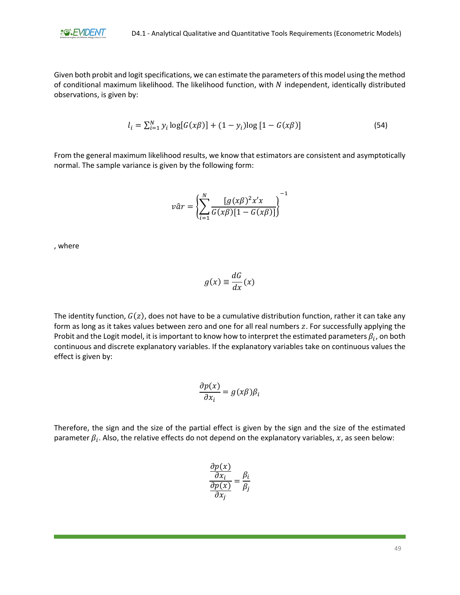

Given both probit and logit specifications, we can estimate the parameters of this model using the method of conditional maximum likelihood. The likelihood function, with  $N$  independent, identically distributed observations, is given by:

$$
l_i = \sum_{i=1}^{N} y_i \log[G(x\beta)] + (1 - y_i) \log[1 - G(x\beta)] \tag{54}
$$

From the general maximum likelihood results, we know that estimators are consistent and asymptotically normal. The sample variance is given by the following form:

$$
v\hat{a}r = \left\{\sum_{i=1}^{N} \frac{[g(x\beta)^2 x'x]}{G(x\beta)[1 - G(x\beta)]}\right\}^{-1}
$$

, where

$$
g(x) \equiv \frac{dG}{dx}(x)
$$

The identity function,  $G(z)$ , does not have to be a cumulative distribution function, rather it can take any form as long as it takes values between zero and one for all real numbers z. For successfully applying the Probit and the Logit model, it is important to know how to interpret the estimated parameters  $\beta_i$ , on both continuous and discrete explanatory variables. If the explanatory variables take on continuous values the effect is given by:

$$
\frac{\partial p(x)}{\partial x_i} = g(x\beta)\beta_i
$$

Therefore, the sign and the size of the partial effect is given by the sign and the size of the estimated parameter  $\beta_i$ . Also, the relative effects do not depend on the explanatory variables,  $x$ , as seen below:

$$
\frac{\frac{\partial p(x)}{\partial x_i}}{\frac{\partial p(x)}{\partial x_j}} = \frac{\beta_i}{\beta_j}
$$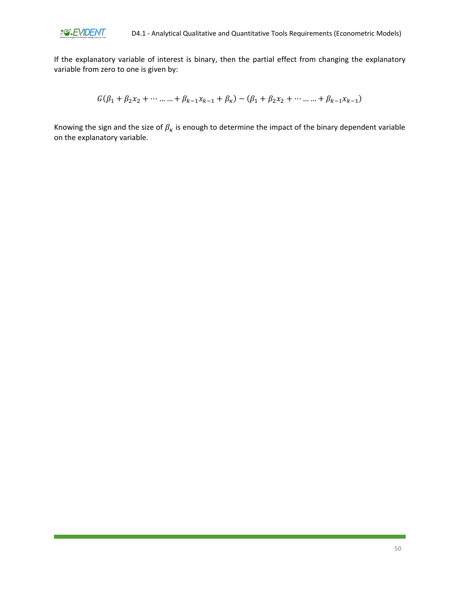

If the explanatory variable of interest is binary, then the partial effect from changing the explanatory variable from zero to one is given by:

$$
G(\beta_1 + \beta_2 x_2 + \cdots + \beta_{k-1} x_{k-1} + \beta_k) - (\beta_1 + \beta_2 x_2 + \cdots + \beta_{k-1} x_{k-1})
$$

Knowing the sign and the size of  $\beta_{\kappa}$  is enough to determine the impact of the binary dependent variable on the explanatory variable.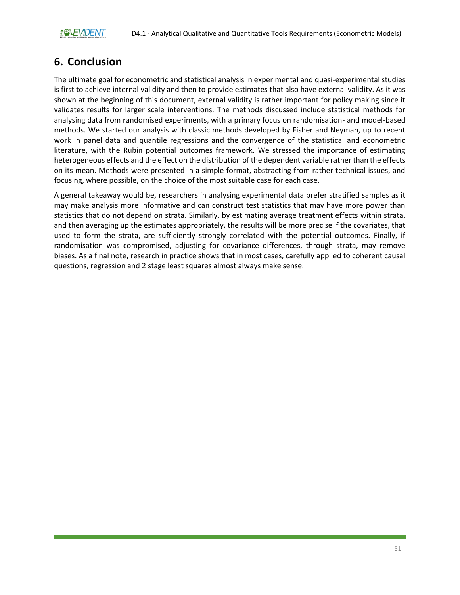# <span id="page-51-0"></span>**6. Conclusion**

The ultimate goal for econometric and statistical analysis in experimental and quasi-experimental studies is first to achieve internal validity and then to provide estimates that also have external validity. As it was shown at the beginning of this document, external validity is rather important for policy making since it validates results for larger scale interventions. The methods discussed include statistical methods for analysing data from randomised experiments, with a primary focus on randomisation- and model-based methods. We started our analysis with classic methods developed by Fisher and Neyman, up to recent work in panel data and quantile regressions and the convergence of the statistical and econometric literature, with the Rubin potential outcomes framework. We stressed the importance of estimating heterogeneous effects and the effect on the distribution of the dependent variable rather than the effects on its mean. Methods were presented in a simple format, abstracting from rather technical issues, and focusing, where possible, on the choice of the most suitable case for each case.

A general takeaway would be, researchers in analysing experimental data prefer stratified samples as it may make analysis more informative and can construct test statistics that may have more power than statistics that do not depend on strata. Similarly, by estimating average treatment effects within strata, and then averaging up the estimates appropriately, the results will be more precise if the covariates, that used to form the strata, are sufficiently strongly correlated with the potential outcomes. Finally, if randomisation was compromised, adjusting for covariance differences, through strata, may remove biases. As a final note, research in practice shows that in most cases, carefully applied to coherent causal questions, regression and 2 stage least squares almost always make sense.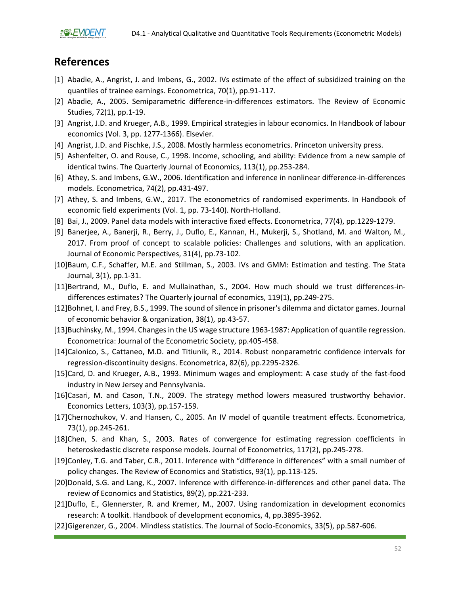## <span id="page-52-0"></span>**References**

**20%EVIDENT** 

- [1] Abadie, A., Angrist, J. and Imbens, G., 2002. IVs estimate of the effect of subsidized training on the quantiles of trainee earnings. Econometrica, 70(1), pp.91-117.
- [2] Abadie, A., 2005. Semiparametric difference-in-differences estimators. The Review of Economic Studies, 72(1), pp.1-19.
- [3] Angrist, J.D. and Krueger, A.B., 1999. Empirical strategies in labour economics. In Handbook of labour economics (Vol. 3, pp. 1277-1366). Elsevier.
- [4] Angrist, J.D. and Pischke, J.S., 2008. Mostly harmless econometrics. Princeton university press.
- [5] Ashenfelter, O. and Rouse, C., 1998. Income, schooling, and ability: Evidence from a new sample of identical twins. The Quarterly Journal of Economics, 113(1), pp.253-284.
- [6] Athey, S. and Imbens, G.W., 2006. Identification and inference in nonlinear difference‐in‐differences models. Econometrica, 74(2), pp.431-497.
- [7] Athey, S. and Imbens, G.W., 2017. The econometrics of randomised experiments. In Handbook of economic field experiments (Vol. 1, pp. 73-140). North-Holland.
- [8] Bai, J., 2009. Panel data models with interactive fixed effects. Econometrica, 77(4), pp.1229-1279.
- [9] Banerjee, A., Banerji, R., Berry, J., Duflo, E., Kannan, H., Mukerji, S., Shotland, M. and Walton, M., 2017. From proof of concept to scalable policies: Challenges and solutions, with an application. Journal of Economic Perspectives, 31(4), pp.73-102.
- [10]Baum, C.F., Schaffer, M.E. and Stillman, S., 2003. IVs and GMM: Estimation and testing. The Stata Journal, 3(1), pp.1-31.
- [11]Bertrand, M., Duflo, E. and Mullainathan, S., 2004. How much should we trust differences-indifferences estimates? The Quarterly journal of economics, 119(1), pp.249-275.
- [12]Bohnet, I. and Frey, B.S., 1999. The sound of silence in prisoner's dilemma and dictator games. Journal of economic behavior & organization, 38(1), pp.43-57.
- [13]Buchinsky, M., 1994. Changes in the US wage structure 1963-1987: Application of quantile regression. Econometrica: Journal of the Econometric Society, pp.405-458.
- [14]Calonico, S., Cattaneo, M.D. and Titiunik, R., 2014. Robust nonparametric confidence intervals for regression‐discontinuity designs. Econometrica, 82(6), pp.2295-2326.
- [15]Card, D. and Krueger, A.B., 1993. Minimum wages and employment: A case study of the fast-food industry in New Jersey and Pennsylvania.
- [16]Casari, M. and Cason, T.N., 2009. The strategy method lowers measured trustworthy behavior. Economics Letters, 103(3), pp.157-159.
- [17]Chernozhukov, V. and Hansen, C., 2005. An IV model of quantile treatment effects. Econometrica, 73(1), pp.245-261.
- [18]Chen, S. and Khan, S., 2003. Rates of convergence for estimating regression coefficients in heteroskedastic discrete response models. Journal of Econometrics, 117(2), pp.245-278.
- [19]Conley, T.G. and Taber, C.R., 2011. Inference with "difference in differences" with a small number of policy changes. The Review of Economics and Statistics, 93(1), pp.113-125.
- [20]Donald, S.G. and Lang, K., 2007. Inference with difference-in-differences and other panel data. The review of Economics and Statistics, 89(2), pp.221-233.
- [21]Duflo, E., Glennerster, R. and Kremer, M., 2007. Using randomization in development economics research: A toolkit. Handbook of development economics, 4, pp.3895-3962.
- [22]Gigerenzer, G., 2004. Mindless statistics. The Journal of Socio-Economics, 33(5), pp.587-606.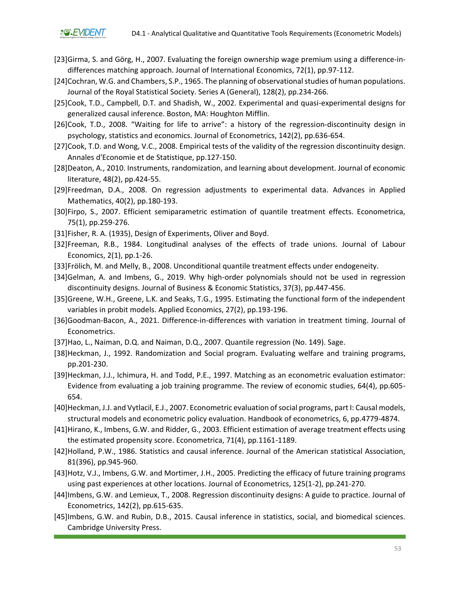- [23]Girma, S. and Görg, H., 2007. Evaluating the foreign ownership wage premium using a difference-indifferences matching approach. Journal of International Economics, 72(1), pp.97-112.
- [24]Cochran, W.G. and Chambers, S.P., 1965. The planning of observational studies of human populations. Journal of the Royal Statistical Society. Series A (General), 128(2), pp.234-266.
- [25]Cook, T.D., Campbell, D.T. and Shadish, W., 2002. Experimental and quasi-experimental designs for generalized causal inference. Boston, MA: Houghton Mifflin.
- [26]Cook, T.D., 2008. "Waiting for life to arrive": a history of the regression-discontinuity design in psychology, statistics and economics. Journal of Econometrics, 142(2), pp.636-654.
- [27]Cook, T.D. and Wong, V.C., 2008. Empirical tests of the validity of the regression discontinuity design. Annales d'Economie et de Statistique, pp.127-150.
- [28]Deaton, A., 2010. Instruments, randomization, and learning about development. Journal of economic literature, 48(2), pp.424-55.
- [29]Freedman, D.A., 2008. On regression adjustments to experimental data. Advances in Applied Mathematics, 40(2), pp.180-193.
- [30]Firpo, S., 2007. Efficient semiparametric estimation of quantile treatment effects. Econometrica, 75(1), pp.259-276.
- [31]Fisher, R. A. (1935), Design of Experiments, Oliver and Boyd.
- [32]Freeman, R.B., 1984. Longitudinal analyses of the effects of trade unions. Journal of Labour Economics, 2(1), pp.1-26.
- [33]Frölich, M. and Melly, B., 2008. Unconditional quantile treatment effects under endogeneity.
- [34]Gelman, A. and Imbens, G., 2019. Why high-order polynomials should not be used in regression discontinuity designs. Journal of Business & Economic Statistics, 37(3), pp.447-456.
- [35]Greene, W.H., Greene, L.K. and Seaks, T.G., 1995. Estimating the functional form of the independent variables in probit models. Applied Economics, 27(2), pp.193-196.
- [36]Goodman-Bacon, A., 2021. Difference-in-differences with variation in treatment timing. Journal of Econometrics.
- [37]Hao, L., Naiman, D.Q. and Naiman, D.Q., 2007. Quantile regression (No. 149). Sage.
- [38]Heckman, J., 1992. Randomization and Social program. Evaluating welfare and training programs, pp.201-230.
- [39]Heckman, J.J., Ichimura, H. and Todd, P.E., 1997. Matching as an econometric evaluation estimator: Evidence from evaluating a job training programme. The review of economic studies, 64(4), pp.605- 654.
- [40]Heckman, J.J. and Vytlacil, E.J., 2007. Econometric evaluation of social programs, part I: Causal models, structural models and econometric policy evaluation. Handbook of econometrics, 6, pp.4779-4874.
- [41]Hirano, K., Imbens, G.W. and Ridder, G., 2003. Efficient estimation of average treatment effects using the estimated propensity score. Econometrica, 71(4), pp.1161-1189.
- [42]Holland, P.W., 1986. Statistics and causal inference. Journal of the American statistical Association, 81(396), pp.945-960.
- [43]Hotz, V.J., Imbens, G.W. and Mortimer, J.H., 2005. Predicting the efficacy of future training programs using past experiences at other locations. Journal of Econometrics, 125(1-2), pp.241-270.
- [44]Imbens, G.W. and Lemieux, T., 2008. Regression discontinuity designs: A guide to practice. Journal of Econometrics, 142(2), pp.615-635.
- [45]Imbens, G.W. and Rubin, D.B., 2015. Causal inference in statistics, social, and biomedical sciences. Cambridge University Press.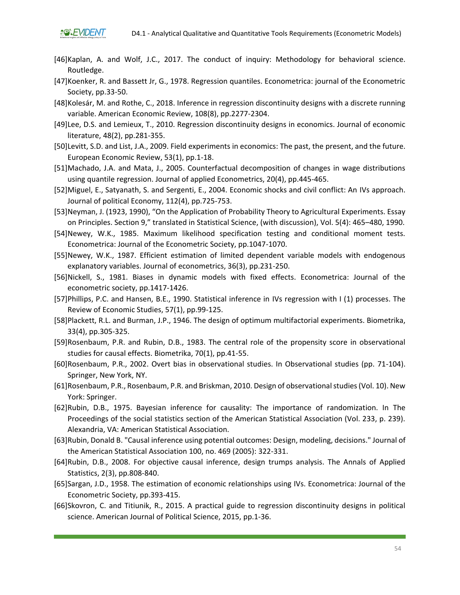- [46]Kaplan, A. and Wolf, J.C., 2017. The conduct of inquiry: Methodology for behavioral science. Routledge.
- [47]Koenker, R. and Bassett Jr, G., 1978. Regression quantiles. Econometrica: journal of the Econometric Society, pp.33-50.
- [48]Kolesár, M. and Rothe, C., 2018. Inference in regression discontinuity designs with a discrete running variable. American Economic Review, 108(8), pp.2277-2304.
- [49]Lee, D.S. and Lemieux, T., 2010. Regression discontinuity designs in economics. Journal of economic literature, 48(2), pp.281-355.
- [50]Levitt, S.D. and List, J.A., 2009. Field experiments in economics: The past, the present, and the future. European Economic Review, 53(1), pp.1-18.
- [51]Machado, J.A. and Mata, J., 2005. Counterfactual decomposition of changes in wage distributions using quantile regression. Journal of applied Econometrics, 20(4), pp.445-465.
- [52]Miguel, E., Satyanath, S. and Sergenti, E., 2004. Economic shocks and civil conflict: An IVs approach. Journal of political Economy, 112(4), pp.725-753.
- [53]Neyman, J. (1923, 1990), "On the Application of Probability Theory to Agricultural Experiments. Essay on Principles. Section 9," translated in Statistical Science, (with discussion), Vol. 5(4): 465–480, 1990.
- [54]Newey, W.K., 1985. Maximum likelihood specification testing and conditional moment tests. Econometrica: Journal of the Econometric Society, pp.1047-1070.
- [55]Newey, W.K., 1987. Efficient estimation of limited dependent variable models with endogenous explanatory variables. Journal of econometrics, 36(3), pp.231-250.
- [56]Nickell, S., 1981. Biases in dynamic models with fixed effects. Econometrica: Journal of the econometric society, pp.1417-1426.
- [57]Phillips, P.C. and Hansen, B.E., 1990. Statistical inference in IVs regression with I (1) processes. The Review of Economic Studies, 57(1), pp.99-125.
- [58]Plackett, R.L. and Burman, J.P., 1946. The design of optimum multifactorial experiments. Biometrika, 33(4), pp.305-325.
- [59]Rosenbaum, P.R. and Rubin, D.B., 1983. The central role of the propensity score in observational studies for causal effects. Biometrika, 70(1), pp.41-55.
- [60]Rosenbaum, P.R., 2002. Overt bias in observational studies. In Observational studies (pp. 71-104). Springer, New York, NY.
- [61]Rosenbaum, P.R., Rosenbaum, P.R. and Briskman, 2010. Design of observational studies (Vol. 10). New York: Springer.
- [62]Rubin, D.B., 1975. Bayesian inference for causality: The importance of randomization. In The Proceedings of the social statistics section of the American Statistical Association (Vol. 233, p. 239). Alexandria, VA: American Statistical Association.
- [63]Rubin, Donald B. "Causal inference using potential outcomes: Design, modeling, decisions." Journal of the American Statistical Association 100, no. 469 (2005): 322-331.
- [64]Rubin, D.B., 2008. For objective causal inference, design trumps analysis. The Annals of Applied Statistics, 2(3), pp.808-840.
- [65]Sargan, J.D., 1958. The estimation of economic relationships using IVs. Econometrica: Journal of the Econometric Society, pp.393-415.
- [66]Skovron, C. and Titiunik, R., 2015. A practical guide to regression discontinuity designs in political science. American Journal of Political Science, 2015, pp.1-36.